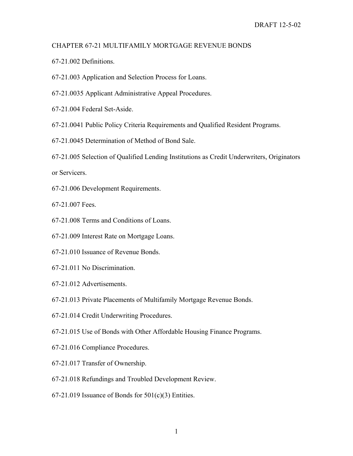## CHAPTER 67-21 MULTIFAMILY MORTGAGE REVENUE BONDS

- 67-21.002 Definitions.
- 67-21.003 Application and Selection Process for Loans.
- 67-21.0035 Applicant Administrative Appeal Procedures.
- 67-21.004 Federal Set-Aside.
- 67-21.0041 Public Policy Criteria Requirements and Qualified Resident Programs.
- 67-21.0045 Determination of Method of Bond Sale.
- 67-21.005 Selection of Qualified Lending Institutions as Credit Underwriters, Originators

or Servicers.

67-21.006 Development Requirements.

67-21.007 Fees.

- 67-21.008 Terms and Conditions of Loans.
- 67-21.009 Interest Rate on Mortgage Loans.
- 67-21.010 Issuance of Revenue Bonds.
- 67-21.011 No Discrimination.
- 67-21.012 Advertisements.
- 67-21.013 Private Placements of Multifamily Mortgage Revenue Bonds.
- 67-21.014 Credit Underwriting Procedures.
- 67-21.015 Use of Bonds with Other Affordable Housing Finance Programs.
- 67-21.016 Compliance Procedures.
- 67-21.017 Transfer of Ownership.
- 67-21.018 Refundings and Troubled Development Review.
- $67-21.019$  Issuance of Bonds for  $501(c)(3)$  Entities.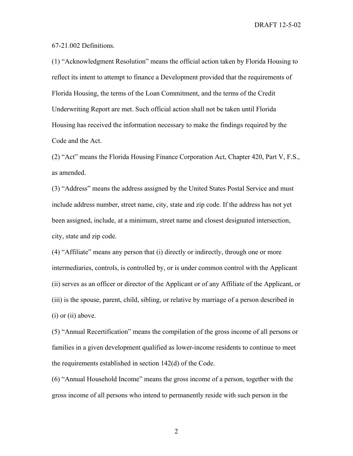67-21.002 Definitions.

(1) "Acknowledgment Resolution" means the official action taken by Florida Housing to reflect its intent to attempt to finance a Development provided that the requirements of Florida Housing, the terms of the Loan Commitment, and the terms of the Credit Underwriting Report are met. Such official action shall not be taken until Florida Housing has received the information necessary to make the findings required by the Code and the Act.

(2) "Act" means the Florida Housing Finance Corporation Act, Chapter 420, Part V, F.S., as amended.

(3) "Address" means the address assigned by the United States Postal Service and must include address number, street name, city, state and zip code. If the address has not yet been assigned, include, at a minimum, street name and closest designated intersection, city, state and zip code.

(4) "Affiliate" means any person that (i) directly or indirectly, through one or more intermediaries, controls, is controlled by, or is under common control with the Applicant (ii) serves as an officer or director of the Applicant or of any Affiliate of the Applicant, or (iii) is the spouse, parent, child, sibling, or relative by marriage of a person described in (i) or (ii) above.

(5) "Annual Recertification" means the compilation of the gross income of all persons or families in a given development qualified as lower-income residents to continue to meet the requirements established in section 142(d) of the Code.

(6) "Annual Household Income" means the gross income of a person, together with the gross income of all persons who intend to permanently reside with such person in the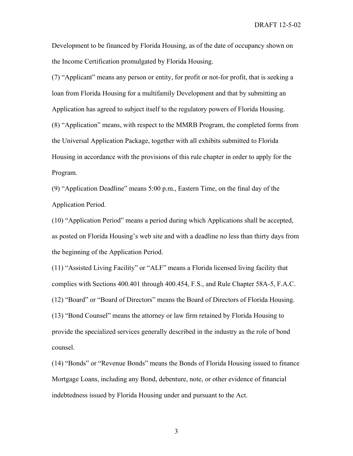Development to be financed by Florida Housing, as of the date of occupancy shown on the Income Certification promulgated by Florida Housing.

(7) "Applicant" means any person or entity, for profit or not-for profit, that is seeking a loan from Florida Housing for a multifamily Development and that by submitting an Application has agreed to subject itself to the regulatory powers of Florida Housing. (8) "Application" means, with respect to the MMRB Program, the completed forms from the Universal Application Package, together with all exhibits submitted to Florida Housing in accordance with the provisions of this rule chapter in order to apply for the Program.

(9) "Application Deadline" means 5:00 p.m., Eastern Time, on the final day of the Application Period.

(10) "Application Period" means a period during which Applications shall be accepted, as posted on Florida Housing's web site and with a deadline no less than thirty days from the beginning of the Application Period.

(11) "Assisted Living Facility" or "ALF" means a Florida licensed living facility that complies with Sections 400.401 through 400.454, F.S., and Rule Chapter 58A-5, F.A.C. (12) "Board" or "Board of Directors" means the Board of Directors of Florida Housing. (13) "Bond Counsel" means the attorney or law firm retained by Florida Housing to provide the specialized services generally described in the industry as the role of bond counsel.

(14) "Bonds" or "Revenue Bonds" means the Bonds of Florida Housing issued to finance Mortgage Loans, including any Bond, debenture, note, or other evidence of financial indebtedness issued by Florida Housing under and pursuant to the Act.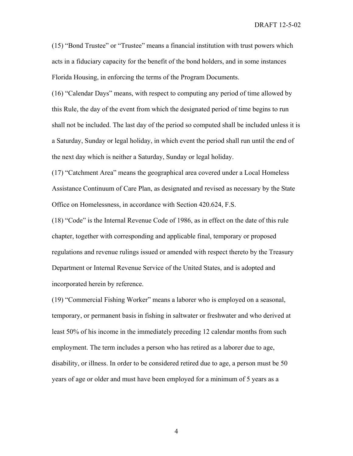(15) "Bond Trustee" or "Trustee" means a financial institution with trust powers which acts in a fiduciary capacity for the benefit of the bond holders, and in some instances Florida Housing, in enforcing the terms of the Program Documents.

(16) "Calendar Days" means, with respect to computing any period of time allowed by this Rule, the day of the event from which the designated period of time begins to run shall not be included. The last day of the period so computed shall be included unless it is a Saturday, Sunday or legal holiday, in which event the period shall run until the end of the next day which is neither a Saturday, Sunday or legal holiday.

(17) "Catchment Area" means the geographical area covered under a Local Homeless Assistance Continuum of Care Plan, as designated and revised as necessary by the State Office on Homelessness, in accordance with Section 420.624, F.S.

(18) "Code" is the Internal Revenue Code of 1986, as in effect on the date of this rule chapter, together with corresponding and applicable final, temporary or proposed regulations and revenue rulings issued or amended with respect thereto by the Treasury Department or Internal Revenue Service of the United States, and is adopted and incorporated herein by reference.

(19) "Commercial Fishing Worker" means a laborer who is employed on a seasonal, temporary, or permanent basis in fishing in saltwater or freshwater and who derived at least 50% of his income in the immediately preceding 12 calendar months from such employment. The term includes a person who has retired as a laborer due to age, disability, or illness. In order to be considered retired due to age, a person must be 50 years of age or older and must have been employed for a minimum of 5 years as a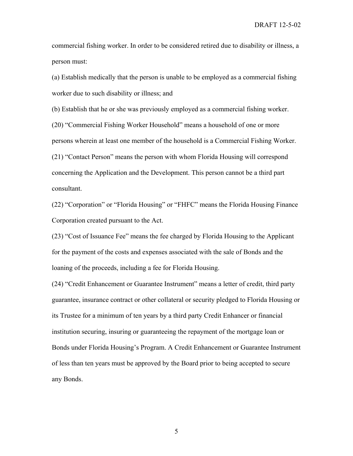commercial fishing worker. In order to be considered retired due to disability or illness, a person must:

(a) Establish medically that the person is unable to be employed as a commercial fishing worker due to such disability or illness; and

(b) Establish that he or she was previously employed as a commercial fishing worker.

(20) "Commercial Fishing Worker Household" means a household of one or more persons wherein at least one member of the household is a Commercial Fishing Worker. (21) "Contact Person" means the person with whom Florida Housing will correspond concerning the Application and the Development. This person cannot be a third part consultant.

(22) "Corporation" or "Florida Housing" or "FHFC" means the Florida Housing Finance Corporation created pursuant to the Act.

(23) "Cost of Issuance Fee" means the fee charged by Florida Housing to the Applicant for the payment of the costs and expenses associated with the sale of Bonds and the loaning of the proceeds, including a fee for Florida Housing.

(24) "Credit Enhancement or Guarantee Instrument" means a letter of credit, third party guarantee, insurance contract or other collateral or security pledged to Florida Housing or its Trustee for a minimum of ten years by a third party Credit Enhancer or financial institution securing, insuring or guaranteeing the repayment of the mortgage loan or Bonds under Florida Housing's Program. A Credit Enhancement or Guarantee Instrument of less than ten years must be approved by the Board prior to being accepted to secure any Bonds.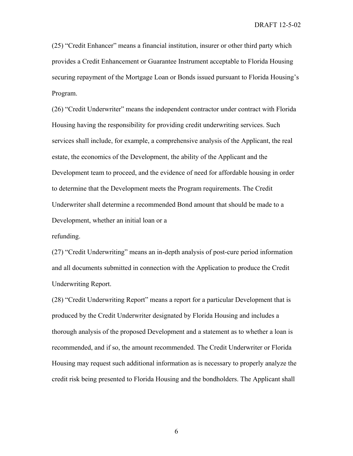(25) "Credit Enhancer" means a financial institution, insurer or other third party which provides a Credit Enhancement or Guarantee Instrument acceptable to Florida Housing securing repayment of the Mortgage Loan or Bonds issued pursuant to Florida Housing's Program.

(26) "Credit Underwriter" means the independent contractor under contract with Florida Housing having the responsibility for providing credit underwriting services. Such services shall include, for example, a comprehensive analysis of the Applicant, the real estate, the economics of the Development, the ability of the Applicant and the Development team to proceed, and the evidence of need for affordable housing in order to determine that the Development meets the Program requirements. The Credit Underwriter shall determine a recommended Bond amount that should be made to a Development, whether an initial loan or a

refunding.

(27) "Credit Underwriting" means an in-depth analysis of post-cure period information and all documents submitted in connection with the Application to produce the Credit Underwriting Report.

(28) "Credit Underwriting Report" means a report for a particular Development that is produced by the Credit Underwriter designated by Florida Housing and includes a thorough analysis of the proposed Development and a statement as to whether a loan is recommended, and if so, the amount recommended. The Credit Underwriter or Florida Housing may request such additional information as is necessary to properly analyze the credit risk being presented to Florida Housing and the bondholders. The Applicant shall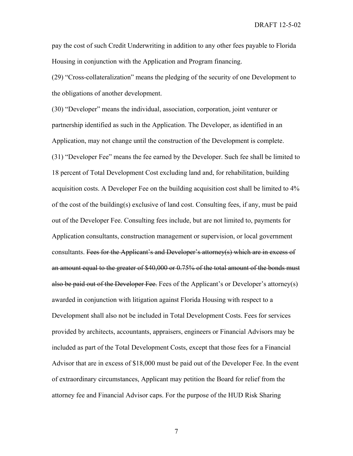pay the cost of such Credit Underwriting in addition to any other fees payable to Florida Housing in conjunction with the Application and Program financing.

(29) "Cross-collateralization" means the pledging of the security of one Development to the obligations of another development.

(30) "Developer" means the individual, association, corporation, joint venturer or partnership identified as such in the Application. The Developer, as identified in an Application, may not change until the construction of the Development is complete. (31) "Developer Fee" means the fee earned by the Developer. Such fee shall be limited to 18 percent of Total Development Cost excluding land and, for rehabilitation, building acquisition costs. A Developer Fee on the building acquisition cost shall be limited to 4% of the cost of the building(s) exclusive of land cost. Consulting fees, if any, must be paid out of the Developer Fee. Consulting fees include, but are not limited to, payments for Application consultants, construction management or supervision, or local government consultants. Fees for the Applicant's and Developer's attorney(s) which are in excess of an amount equal to the greater of \$40,000 or 0.75% of the total amount of the bonds must also be paid out of the Developer Fee. Fees of the Applicant's or Developer's attorney(s) awarded in conjunction with litigation against Florida Housing with respect to a Development shall also not be included in Total Development Costs. Fees for services provided by architects, accountants, appraisers, engineers or Financial Advisors may be included as part of the Total Development Costs, except that those fees for a Financial Advisor that are in excess of \$18,000 must be paid out of the Developer Fee. In the event of extraordinary circumstances, Applicant may petition the Board for relief from the attorney fee and Financial Advisor caps. For the purpose of the HUD Risk Sharing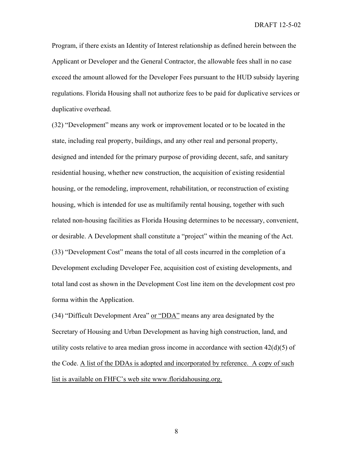Program, if there exists an Identity of Interest relationship as defined herein between the Applicant or Developer and the General Contractor, the allowable fees shall in no case exceed the amount allowed for the Developer Fees pursuant to the HUD subsidy layering regulations. Florida Housing shall not authorize fees to be paid for duplicative services or duplicative overhead.

(32) "Development" means any work or improvement located or to be located in the state, including real property, buildings, and any other real and personal property, designed and intended for the primary purpose of providing decent, safe, and sanitary residential housing, whether new construction, the acquisition of existing residential housing, or the remodeling, improvement, rehabilitation, or reconstruction of existing housing, which is intended for use as multifamily rental housing, together with such related non-housing facilities as Florida Housing determines to be necessary, convenient, or desirable. A Development shall constitute a "project" within the meaning of the Act. (33) "Development Cost" means the total of all costs incurred in the completion of a Development excluding Developer Fee, acquisition cost of existing developments, and total land cost as shown in the Development Cost line item on the development cost pro forma within the Application.

(34) "Difficult Development Area" or "DDA" means any area designated by the Secretary of Housing and Urban Development as having high construction, land, and utility costs relative to area median gross income in accordance with section  $42(d)(5)$  of the Code. A list of the DDAs is adopted and incorporated by reference. A copy of such list is available on FHFC's web site www.floridahousing.org.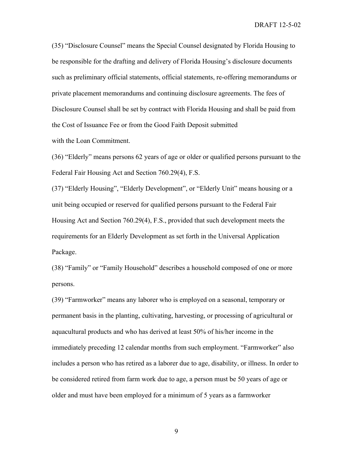(35) "Disclosure Counsel" means the Special Counsel designated by Florida Housing to be responsible for the drafting and delivery of Florida Housing's disclosure documents such as preliminary official statements, official statements, re-offering memorandums or private placement memorandums and continuing disclosure agreements. The fees of Disclosure Counsel shall be set by contract with Florida Housing and shall be paid from the Cost of Issuance Fee or from the Good Faith Deposit submitted with the Loan Commitment.

(36) "Elderly" means persons 62 years of age or older or qualified persons pursuant to the Federal Fair Housing Act and Section 760.29(4), F.S.

(37) "Elderly Housing", "Elderly Development", or "Elderly Unit" means housing or a unit being occupied or reserved for qualified persons pursuant to the Federal Fair Housing Act and Section 760.29(4), F.S., provided that such development meets the requirements for an Elderly Development as set forth in the Universal Application Package.

(38) "Family" or "Family Household" describes a household composed of one or more persons.

(39) "Farmworker" means any laborer who is employed on a seasonal, temporary or permanent basis in the planting, cultivating, harvesting, or processing of agricultural or aquacultural products and who has derived at least 50% of his/her income in the immediately preceding 12 calendar months from such employment. "Farmworker" also includes a person who has retired as a laborer due to age, disability, or illness. In order to be considered retired from farm work due to age, a person must be 50 years of age or older and must have been employed for a minimum of 5 years as a farmworker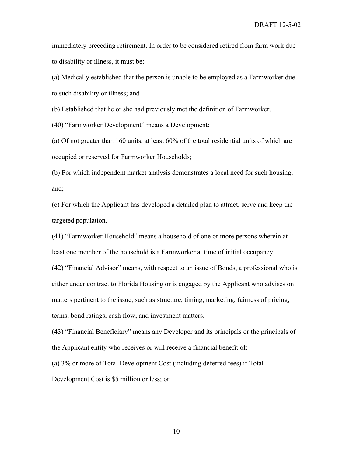immediately preceding retirement. In order to be considered retired from farm work due to disability or illness, it must be:

(a) Medically established that the person is unable to be employed as a Farmworker due to such disability or illness; and

(b) Established that he or she had previously met the definition of Farmworker.

(40) "Farmworker Development" means a Development:

(a) Of not greater than 160 units, at least 60% of the total residential units of which are occupied or reserved for Farmworker Households;

(b) For which independent market analysis demonstrates a local need for such housing, and;

(c) For which the Applicant has developed a detailed plan to attract, serve and keep the targeted population.

(41) "Farmworker Household" means a household of one or more persons wherein at least one member of the household is a Farmworker at time of initial occupancy.

(42) "Financial Advisor" means, with respect to an issue of Bonds, a professional who is either under contract to Florida Housing or is engaged by the Applicant who advises on matters pertinent to the issue, such as structure, timing, marketing, fairness of pricing, terms, bond ratings, cash flow, and investment matters.

(43) "Financial Beneficiary" means any Developer and its principals or the principals of the Applicant entity who receives or will receive a financial benefit of:

(a) 3% or more of Total Development Cost (including deferred fees) if Total

Development Cost is \$5 million or less; or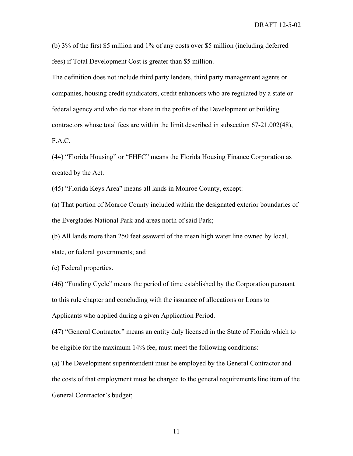(b) 3% of the first \$5 million and 1% of any costs over \$5 million (including deferred fees) if Total Development Cost is greater than \$5 million.

The definition does not include third party lenders, third party management agents or companies, housing credit syndicators, credit enhancers who are regulated by a state or federal agency and who do not share in the profits of the Development or building contractors whose total fees are within the limit described in subsection 67-21.002(48),

F.A.C.

(44) "Florida Housing" or "FHFC" means the Florida Housing Finance Corporation as created by the Act.

(45) "Florida Keys Area" means all lands in Monroe County, except:

(a) That portion of Monroe County included within the designated exterior boundaries of the Everglades National Park and areas north of said Park;

(b) All lands more than 250 feet seaward of the mean high water line owned by local, state, or federal governments; and

(c) Federal properties.

(46) "Funding Cycle" means the period of time established by the Corporation pursuant to this rule chapter and concluding with the issuance of allocations or Loans to Applicants who applied during a given Application Period.

(47) "General Contractor" means an entity duly licensed in the State of Florida which to be eligible for the maximum 14% fee, must meet the following conditions:

(a) The Development superintendent must be employed by the General Contractor and the costs of that employment must be charged to the general requirements line item of the General Contractor's budget;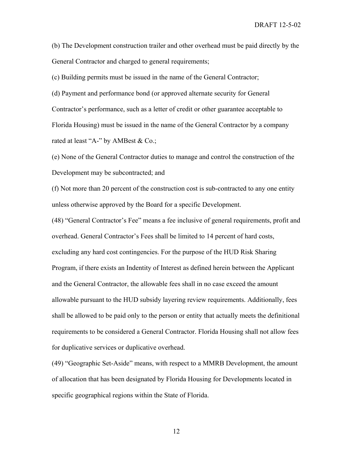(b) The Development construction trailer and other overhead must be paid directly by the General Contractor and charged to general requirements;

(c) Building permits must be issued in the name of the General Contractor;

(d) Payment and performance bond (or approved alternate security for General Contractor's performance, such as a letter of credit or other guarantee acceptable to Florida Housing) must be issued in the name of the General Contractor by a company rated at least "A-" by AMBest & Co.;

(e) None of the General Contractor duties to manage and control the construction of the Development may be subcontracted; and

(f) Not more than 20 percent of the construction cost is sub-contracted to any one entity unless otherwise approved by the Board for a specific Development.

(48) "General Contractor's Fee" means a fee inclusive of general requirements, profit and overhead. General Contractor's Fees shall be limited to 14 percent of hard costs, excluding any hard cost contingencies. For the purpose of the HUD Risk Sharing Program, if there exists an Indentity of Interest as defined herein between the Applicant and the General Contractor, the allowable fees shall in no case exceed the amount allowable pursuant to the HUD subsidy layering review requirements. Additionally, fees shall be allowed to be paid only to the person or entity that actually meets the definitional requirements to be considered a General Contractor. Florida Housing shall not allow fees for duplicative services or duplicative overhead.

(49) "Geographic Set-Aside" means, with respect to a MMRB Development, the amount of allocation that has been designated by Florida Housing for Developments located in specific geographical regions within the State of Florida.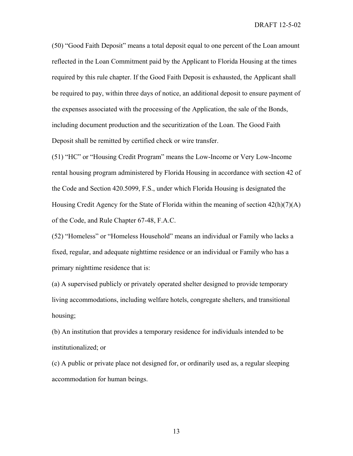(50) "Good Faith Deposit" means a total deposit equal to one percent of the Loan amount reflected in the Loan Commitment paid by the Applicant to Florida Housing at the times required by this rule chapter. If the Good Faith Deposit is exhausted, the Applicant shall be required to pay, within three days of notice, an additional deposit to ensure payment of the expenses associated with the processing of the Application, the sale of the Bonds, including document production and the securitization of the Loan. The Good Faith Deposit shall be remitted by certified check or wire transfer.

(51) "HC" or "Housing Credit Program" means the Low-Income or Very Low-Income rental housing program administered by Florida Housing in accordance with section 42 of the Code and Section 420.5099, F.S., under which Florida Housing is designated the Housing Credit Agency for the State of Florida within the meaning of section  $42(h)(7)(A)$ of the Code, and Rule Chapter 67-48, F.A.C.

(52) "Homeless" or "Homeless Household" means an individual or Family who lacks a fixed, regular, and adequate nighttime residence or an individual or Family who has a primary nighttime residence that is:

(a) A supervised publicly or privately operated shelter designed to provide temporary living accommodations, including welfare hotels, congregate shelters, and transitional housing;

(b) An institution that provides a temporary residence for individuals intended to be institutionalized; or

(c) A public or private place not designed for, or ordinarily used as, a regular sleeping accommodation for human beings.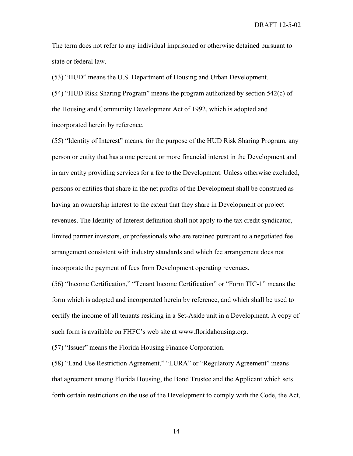The term does not refer to any individual imprisoned or otherwise detained pursuant to state or federal law.

(53) "HUD" means the U.S. Department of Housing and Urban Development.

(54) "HUD Risk Sharing Program" means the program authorized by section 542(c) of the Housing and Community Development Act of 1992, which is adopted and incorporated herein by reference.

(55) "Identity of Interest" means, for the purpose of the HUD Risk Sharing Program, any person or entity that has a one percent or more financial interest in the Development and in any entity providing services for a fee to the Development. Unless otherwise excluded, persons or entities that share in the net profits of the Development shall be construed as having an ownership interest to the extent that they share in Development or project revenues. The Identity of Interest definition shall not apply to the tax credit syndicator, limited partner investors, or professionals who are retained pursuant to a negotiated fee arrangement consistent with industry standards and which fee arrangement does not incorporate the payment of fees from Development operating revenues.

(56) "Income Certification," "Tenant Income Certification" or "Form TIC-1" means the form which is adopted and incorporated herein by reference, and which shall be used to certify the income of all tenants residing in a Set-Aside unit in a Development. A copy of such form is available on FHFC's web site at www.floridahousing.org.

(57) "Issuer" means the Florida Housing Finance Corporation.

(58) "Land Use Restriction Agreement," "LURA" or "Regulatory Agreement" means that agreement among Florida Housing, the Bond Trustee and the Applicant which sets forth certain restrictions on the use of the Development to comply with the Code, the Act,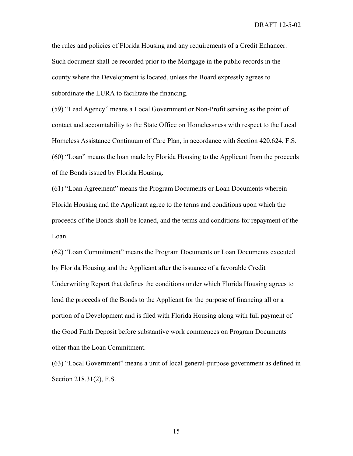the rules and policies of Florida Housing and any requirements of a Credit Enhancer. Such document shall be recorded prior to the Mortgage in the public records in the county where the Development is located, unless the Board expressly agrees to subordinate the LURA to facilitate the financing.

(59) "Lead Agency" means a Local Government or Non-Profit serving as the point of contact and accountability to the State Office on Homelessness with respect to the Local Homeless Assistance Continuum of Care Plan, in accordance with Section 420.624, F.S. (60) "Loan" means the loan made by Florida Housing to the Applicant from the proceeds of the Bonds issued by Florida Housing.

(61) "Loan Agreement" means the Program Documents or Loan Documents wherein Florida Housing and the Applicant agree to the terms and conditions upon which the proceeds of the Bonds shall be loaned, and the terms and conditions for repayment of the Loan.

(62) "Loan Commitment" means the Program Documents or Loan Documents executed by Florida Housing and the Applicant after the issuance of a favorable Credit Underwriting Report that defines the conditions under which Florida Housing agrees to lend the proceeds of the Bonds to the Applicant for the purpose of financing all or a portion of a Development and is filed with Florida Housing along with full payment of the Good Faith Deposit before substantive work commences on Program Documents other than the Loan Commitment.

(63) "Local Government" means a unit of local general-purpose government as defined in Section 218.31(2), F.S.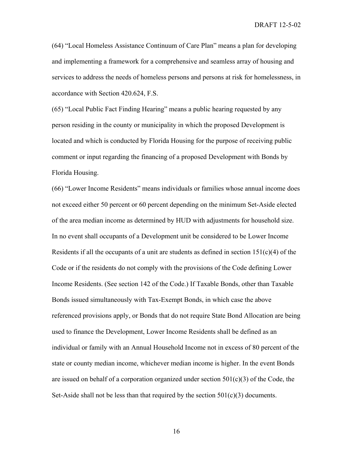(64) "Local Homeless Assistance Continuum of Care Plan" means a plan for developing and implementing a framework for a comprehensive and seamless array of housing and services to address the needs of homeless persons and persons at risk for homelessness, in accordance with Section 420.624, F.S.

(65) "Local Public Fact Finding Hearing" means a public hearing requested by any person residing in the county or municipality in which the proposed Development is located and which is conducted by Florida Housing for the purpose of receiving public comment or input regarding the financing of a proposed Development with Bonds by Florida Housing.

(66) "Lower Income Residents" means individuals or families whose annual income does not exceed either 50 percent or 60 percent depending on the minimum Set-Aside elected of the area median income as determined by HUD with adjustments for household size. In no event shall occupants of a Development unit be considered to be Lower Income Residents if all the occupants of a unit are students as defined in section  $151(c)(4)$  of the Code or if the residents do not comply with the provisions of the Code defining Lower Income Residents. (See section 142 of the Code.) If Taxable Bonds, other than Taxable Bonds issued simultaneously with Tax-Exempt Bonds, in which case the above referenced provisions apply, or Bonds that do not require State Bond Allocation are being used to finance the Development, Lower Income Residents shall be defined as an individual or family with an Annual Household Income not in excess of 80 percent of the state or county median income, whichever median income is higher. In the event Bonds are issued on behalf of a corporation organized under section  $501(c)(3)$  of the Code, the Set-Aside shall not be less than that required by the section  $501(c)(3)$  documents.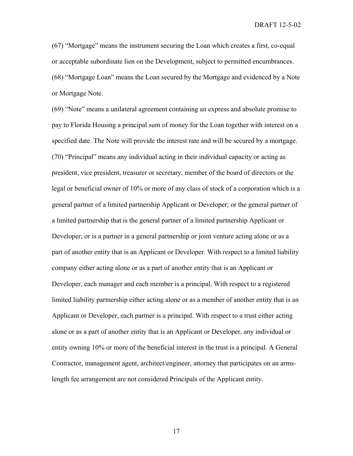(67) "Mortgage" means the instrument securing the Loan which creates a first, co-equal or acceptable subordinate lien on the Development, subject to permitted encumbrances. (68) "Mortgage Loan" means the Loan secured by the Mortgage and evidenced by a Note or Mortgage Note.

(69) "Note" means a unilateral agreement containing an express and absolute promise to pay to Florida Housing a principal sum of money for the Loan together with interest on a specified date. The Note will provide the interest rate and will be secured by a mortgage. (70) "Principal" means any individual acting in their individual capacity or acting as president, vice president, treasurer or secretary, member of the board of directors or the legal or beneficial owner of 10% or more of any class of stock of a corporation which is a general partner of a limited partnership Applicant or Developer; or the general partner of a limited partnership that is the general partner of a limited partnership Applicant or Developer; or is a partner in a general partnership or joint venture acting alone or as a part of another entity that is an Applicant or Developer. With respect to a limited liability company either acting alone or as a part of another entity that is an Applicant or Developer, each manager and each member is a principal. With respect to a registered limited liability partnership either acting alone or as a member of another entity that is an Applicant or Developer, each partner is a principal. With respect to a trust either acting alone or as a part of another entity that is an Applicant or Developer, any individual or entity owning 10% or more of the beneficial interest in the trust is a principal. A General Contractor, management agent, architect/engineer, attorney that participates on an armslength fee arrangement are not considered Principals of the Applicant entity.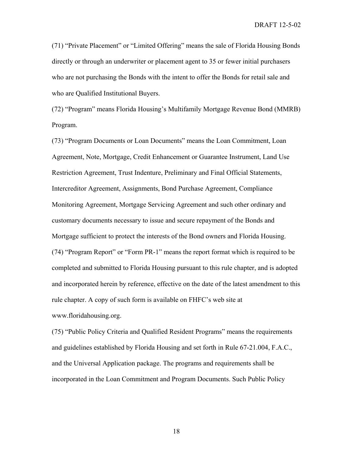(71) "Private Placement" or "Limited Offering" means the sale of Florida Housing Bonds directly or through an underwriter or placement agent to 35 or fewer initial purchasers who are not purchasing the Bonds with the intent to offer the Bonds for retail sale and who are Qualified Institutional Buyers.

(72) "Program" means Florida Housing's Multifamily Mortgage Revenue Bond (MMRB) Program.

(73) "Program Documents or Loan Documents" means the Loan Commitment, Loan Agreement, Note, Mortgage, Credit Enhancement or Guarantee Instrument, Land Use Restriction Agreement, Trust Indenture, Preliminary and Final Official Statements, Intercreditor Agreement, Assignments, Bond Purchase Agreement, Compliance Monitoring Agreement, Mortgage Servicing Agreement and such other ordinary and customary documents necessary to issue and secure repayment of the Bonds and Mortgage sufficient to protect the interests of the Bond owners and Florida Housing. (74) "Program Report" or "Form PR-1" means the report format which is required to be completed and submitted to Florida Housing pursuant to this rule chapter, and is adopted and incorporated herein by reference, effective on the date of the latest amendment to this rule chapter. A copy of such form is available on FHFC's web site at www.floridahousing.org.

(75) "Public Policy Criteria and Qualified Resident Programs" means the requirements and guidelines established by Florida Housing and set forth in Rule 67-21.004, F.A.C., and the Universal Application package. The programs and requirements shall be incorporated in the Loan Commitment and Program Documents. Such Public Policy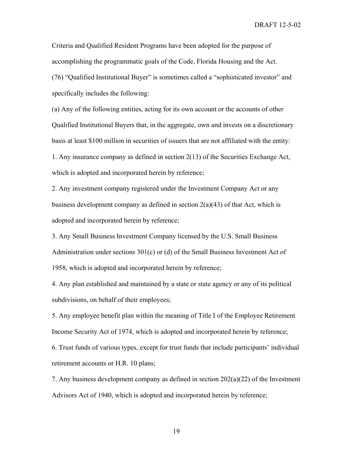Criteria and Qualified Resident Programs have been adopted for the purpose of accomplishing the programmatic goals of the Code, Florida Housing and the Act. (76) "Qualified Institutional Buyer" is sometimes called a "sophisticated investor" and specifically includes the following:

(a) Any of the following entities, acting for its own account or the accounts of other Qualified Institutional Buyers that, in the aggregate, own and invests on a discretionary basis at least \$100 million in securities of issuers that are not affiliated with the entity: 1. Any insurance company as defined in section 2(13) of the Securities Exchange Act, which is adopted and incorporated herein by reference;

2. Any investment company registered under the Investment Company Act or any business development company as defined in section  $2(a)(43)$  of that Act, which is adopted and incorporated herein by reference;

3. Any Small Business Investment Company licensed by the U.S. Small Business Administration under sections 301(c) or (d) of the Small Business Investment Act of 1958, which is adopted and incorporated herein by reference;

4. Any plan established and maintained by a state or state agency or any of its political subdivisions, on behalf of their employees;

5. Any employee benefit plan within the meaning of Title I of the Employee Retirement Income Security Act of 1974, which is adopted and incorporated herein by reference;

6. Trust funds of various types, except for trust funds that include participants' individual retirement accounts or H.R. 10 plans;

7. Any business development company as defined in section 202(a)(22) of the Investment Advisors Act of 1940, which is adopted and incorporated herein by reference;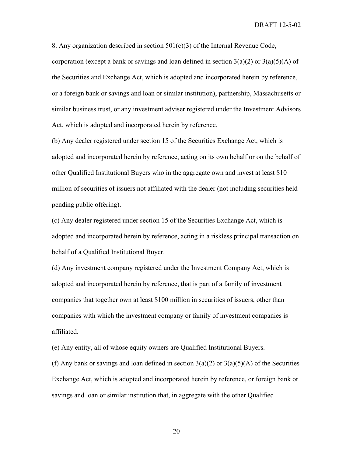8. Any organization described in section  $501(c)(3)$  of the Internal Revenue Code, corporation (except a bank or savings and loan defined in section  $3(a)(2)$  or  $3(a)(5)(A)$  of the Securities and Exchange Act, which is adopted and incorporated herein by reference, or a foreign bank or savings and loan or similar institution), partnership, Massachusetts or similar business trust, or any investment adviser registered under the Investment Advisors Act, which is adopted and incorporated herein by reference.

(b) Any dealer registered under section 15 of the Securities Exchange Act, which is adopted and incorporated herein by reference, acting on its own behalf or on the behalf of other Qualified Institutional Buyers who in the aggregate own and invest at least \$10 million of securities of issuers not affiliated with the dealer (not including securities held pending public offering).

(c) Any dealer registered under section 15 of the Securities Exchange Act, which is adopted and incorporated herein by reference, acting in a riskless principal transaction on behalf of a Qualified Institutional Buyer.

(d) Any investment company registered under the Investment Company Act, which is adopted and incorporated herein by reference, that is part of a family of investment companies that together own at least \$100 million in securities of issuers, other than companies with which the investment company or family of investment companies is affiliated.

(e) Any entity, all of whose equity owners are Qualified Institutional Buyers.

(f) Any bank or savings and loan defined in section  $3(a)(2)$  or  $3(a)(5)(A)$  of the Securities Exchange Act, which is adopted and incorporated herein by reference, or foreign bank or savings and loan or similar institution that, in aggregate with the other Qualified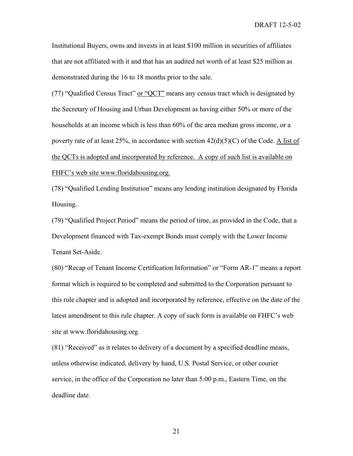Institutional Buyers, owns and invests in at least \$100 million in securities of affiliates that are not affiliated with it and that has an audited net worth of at least \$25 million as demonstrated during the 16 to 18 months prior to the sale.

(77) "Qualified Census Tract" or "QCT" means any census tract which is designated by the Secretary of Housing and Urban Development as having either 50% or more of the households at an income which is less than 60% of the area median gross income, or a poverty rate of at least 25%, in accordance with section  $42(d)(5)(C)$  of the Code. A list of the QCTs is adopted and incorporated by reference. A copy of such list is available on FHFC's web site www.floridahousing.org.

(78) "Qualified Lending Institution" means any lending institution designated by Florida Housing.

(79) "Qualified Project Period" means the period of time, as provided in the Code, that a Development financed with Tax-exempt Bonds must comply with the Lower Income Tenant Set-Aside.

(80) "Recap of Tenant Income Certification Information" or "Form AR-1" means a report format which is required to be completed and submitted to the Corporation pursuant to this rule chapter and is adopted and incorporated by reference, effective on the date of the latest amendment to this rule chapter. A copy of such form is available on FHFC's web site at www.floridahousing.org.

(81) "Received" as it relates to delivery of a document by a specified deadline means, unless otherwise indicated, delivery by hand, U.S. Postal Service, or other courier service, in the office of the Corporation no later than 5:00 p.m., Eastern Time, on the deadline date.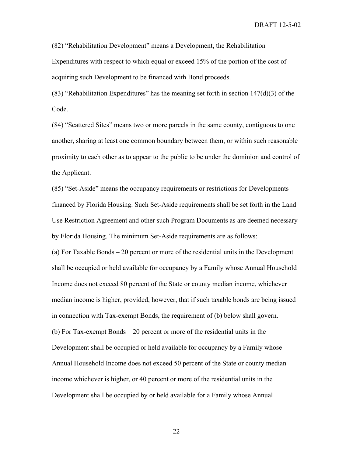(82) "Rehabilitation Development" means a Development, the Rehabilitation

Expenditures with respect to which equal or exceed 15% of the portion of the cost of acquiring such Development to be financed with Bond proceeds.

(83) "Rehabilitation Expenditures" has the meaning set forth in section  $147(d)(3)$  of the Code.

(84) "Scattered Sites" means two or more parcels in the same county, contiguous to one another, sharing at least one common boundary between them, or within such reasonable proximity to each other as to appear to the public to be under the dominion and control of the Applicant.

(85) "Set-Aside" means the occupancy requirements or restrictions for Developments financed by Florida Housing. Such Set-Aside requirements shall be set forth in the Land Use Restriction Agreement and other such Program Documents as are deemed necessary by Florida Housing. The minimum Set-Aside requirements are as follows:

(a) For Taxable Bonds – 20 percent or more of the residential units in the Development shall be occupied or held available for occupancy by a Family whose Annual Household Income does not exceed 80 percent of the State or county median income, whichever median income is higher, provided, however, that if such taxable bonds are being issued in connection with Tax-exempt Bonds, the requirement of (b) below shall govern. (b) For Tax-exempt Bonds – 20 percent or more of the residential units in the Development shall be occupied or held available for occupancy by a Family whose Annual Household Income does not exceed 50 percent of the State or county median income whichever is higher, or 40 percent or more of the residential units in the Development shall be occupied by or held available for a Family whose Annual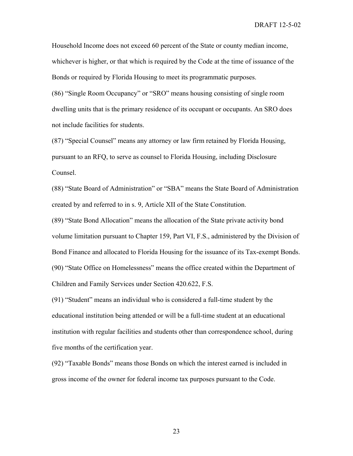Household Income does not exceed 60 percent of the State or county median income, whichever is higher, or that which is required by the Code at the time of issuance of the Bonds or required by Florida Housing to meet its programmatic purposes.

(86) "Single Room Occupancy" or "SRO" means housing consisting of single room dwelling units that is the primary residence of its occupant or occupants. An SRO does not include facilities for students.

(87) "Special Counsel" means any attorney or law firm retained by Florida Housing, pursuant to an RFQ, to serve as counsel to Florida Housing, including Disclosure Counsel.

(88) "State Board of Administration" or "SBA" means the State Board of Administration created by and referred to in s. 9, Article XII of the State Constitution.

(89) "State Bond Allocation" means the allocation of the State private activity bond volume limitation pursuant to Chapter 159, Part VI, F.S., administered by the Division of Bond Finance and allocated to Florida Housing for the issuance of its Tax-exempt Bonds. (90) "State Office on Homelessness" means the office created within the Department of Children and Family Services under Section 420.622, F.S.

(91) "Student" means an individual who is considered a full-time student by the educational institution being attended or will be a full-time student at an educational institution with regular facilities and students other than correspondence school, during five months of the certification year.

(92) "Taxable Bonds" means those Bonds on which the interest earned is included in gross income of the owner for federal income tax purposes pursuant to the Code.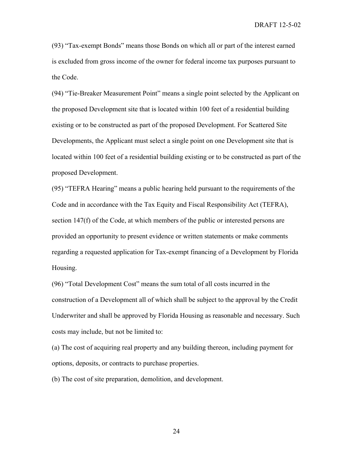(93) "Tax-exempt Bonds" means those Bonds on which all or part of the interest earned is excluded from gross income of the owner for federal income tax purposes pursuant to the Code.

(94) "Tie-Breaker Measurement Point" means a single point selected by the Applicant on the proposed Development site that is located within 100 feet of a residential building existing or to be constructed as part of the proposed Development. For Scattered Site Developments, the Applicant must select a single point on one Development site that is located within 100 feet of a residential building existing or to be constructed as part of the proposed Development.

(95) "TEFRA Hearing" means a public hearing held pursuant to the requirements of the Code and in accordance with the Tax Equity and Fiscal Responsibility Act (TEFRA), section 147(f) of the Code, at which members of the public or interested persons are provided an opportunity to present evidence or written statements or make comments regarding a requested application for Tax-exempt financing of a Development by Florida Housing.

(96) "Total Development Cost" means the sum total of all costs incurred in the construction of a Development all of which shall be subject to the approval by the Credit Underwriter and shall be approved by Florida Housing as reasonable and necessary. Such costs may include, but not be limited to:

(a) The cost of acquiring real property and any building thereon, including payment for options, deposits, or contracts to purchase properties.

(b) The cost of site preparation, demolition, and development.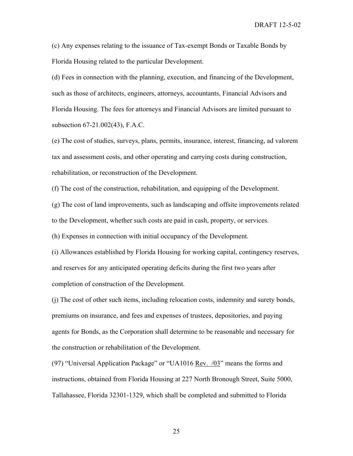(c) Any expenses relating to the issuance of Tax-exempt Bonds or Taxable Bonds by Florida Housing related to the particular Development.

(d) Fees in connection with the planning, execution, and financing of the Development, such as those of architects, engineers, attorneys, accountants, Financial Advisors and Florida Housing. The fees for attorneys and Financial Advisors are limited pursuant to subsection 67-21.002(43), F.A.C.

(e) The cost of studies, surveys, plans, permits, insurance, interest, financing, ad valorem tax and assessment costs, and other operating and carrying costs during construction, rehabilitation, or reconstruction of the Development.

(f) The cost of the construction, rehabilitation, and equipping of the Development.

(g) The cost of land improvements, such as landscaping and offsite improvements related to the Development, whether such costs are paid in cash, property, or services.

(h) Expenses in connection with initial occupancy of the Development.

(i) Allowances established by Florida Housing for working capital, contingency reserves, and reserves for any anticipated operating deficits during the first two years after completion of construction of the Development.

(j) The cost of other such items, including relocation costs, indemnity and surety bonds, premiums on insurance, and fees and expenses of trustees, depositories, and paying agents for Bonds, as the Corporation shall determine to be reasonable and necessary for the construction or rehabilitation of the Development.

(97) "Universal Application Package" or "UA1016 Rev. /03" means the forms and instructions, obtained from Florida Housing at 227 North Bronough Street, Suite 5000, Tallahassee, Florida 32301-1329, which shall be completed and submitted to Florida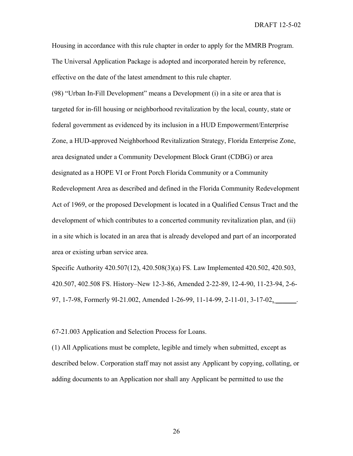Housing in accordance with this rule chapter in order to apply for the MMRB Program. The Universal Application Package is adopted and incorporated herein by reference, effective on the date of the latest amendment to this rule chapter.

(98) "Urban In-Fill Development" means a Development (i) in a site or area that is targeted for in-fill housing or neighborhood revitalization by the local, county, state or federal government as evidenced by its inclusion in a HUD Empowerment/Enterprise Zone, a HUD-approved Neighborhood Revitalization Strategy, Florida Enterprise Zone, area designated under a Community Development Block Grant (CDBG) or area designated as a HOPE VI or Front Porch Florida Community or a Community Redevelopment Area as described and defined in the Florida Community Redevelopment Act of 1969, or the proposed Development is located in a Qualified Census Tract and the development of which contributes to a concerted community revitalization plan, and (ii) in a site which is located in an area that is already developed and part of an incorporated area or existing urban service area.

Specific Authority 420.507(12), 420.508(3)(a) FS. Law Implemented 420.502, 420.503, 420.507, 402.508 FS. History–New 12-3-86, Amended 2-22-89, 12-4-90, 11-23-94, 2-6- 97, 1-7-98, Formerly 9I-21.002, Amended 1-26-99, 11-14-99, 2-11-01, 3-17-02, \_\_\_\_\_\_.

67-21.003 Application and Selection Process for Loans.

(1) All Applications must be complete, legible and timely when submitted, except as described below. Corporation staff may not assist any Applicant by copying, collating, or adding documents to an Application nor shall any Applicant be permitted to use the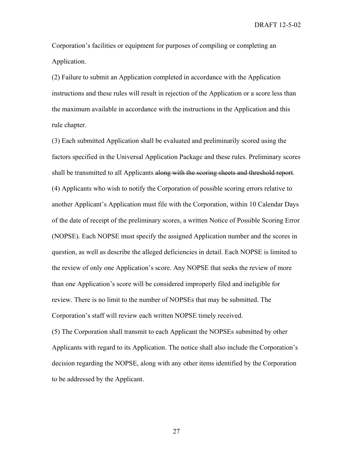Corporation's facilities or equipment for purposes of compiling or completing an Application.

(2) Failure to submit an Application completed in accordance with the Application instructions and these rules will result in rejection of the Application or a score less than the maximum available in accordance with the instructions in the Application and this rule chapter.

(3) Each submitted Application shall be evaluated and preliminarily scored using the factors specified in the Universal Application Package and these rules. Preliminary scores shall be transmitted to all Applicants along with the scoring sheets and threshold report. (4) Applicants who wish to notify the Corporation of possible scoring errors relative to another Applicant's Application must file with the Corporation, within 10 Calendar Days of the date of receipt of the preliminary scores, a written Notice of Possible Scoring Error (NOPSE). Each NOPSE must specify the assigned Application number and the scores in question, as well as describe the alleged deficiencies in detail. Each NOPSE is limited to the review of only one Application's score. Any NOPSE that seeks the review of more than one Application's score will be considered improperly filed and ineligible for review. There is no limit to the number of NOPSEs that may be submitted. The Corporation's staff will review each written NOPSE timely received.

(5) The Corporation shall transmit to each Applicant the NOPSEs submitted by other Applicants with regard to its Application. The notice shall also include the Corporation's decision regarding the NOPSE, along with any other items identified by the Corporation to be addressed by the Applicant.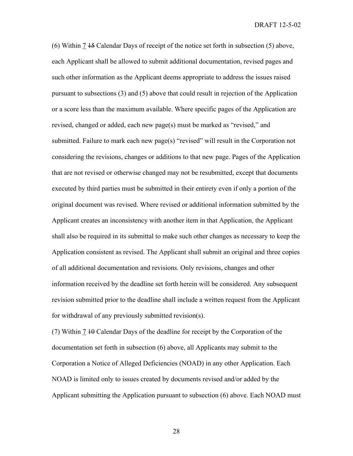(6) Within 7 15 Calendar Days of receipt of the notice set forth in subsection (5) above, each Applicant shall be allowed to submit additional documentation, revised pages and such other information as the Applicant deems appropriate to address the issues raised pursuant to subsections (3) and (5) above that could result in rejection of the Application or a score less than the maximum available. Where specific pages of the Application are revised, changed or added, each new page(s) must be marked as "revised," and submitted. Failure to mark each new page(s) "revised" will result in the Corporation not considering the revisions, changes or additions to that new page. Pages of the Application that are not revised or otherwise changed may not be resubmitted, except that documents executed by third parties must be submitted in their entirety even if only a portion of the original document was revised. Where revised or additional information submitted by the Applicant creates an inconsistency with another item in that Application, the Applicant shall also be required in its submittal to make such other changes as necessary to keep the Application consistent as revised. The Applicant shall submit an original and three copies of all additional documentation and revisions. Only revisions, changes and other information received by the deadline set forth herein will be considered. Any subsequent revision submitted prior to the deadline shall include a written request from the Applicant for withdrawal of any previously submitted revision(s).

(7) Within 7 10 Calendar Days of the deadline for receipt by the Corporation of the documentation set forth in subsection (6) above, all Applicants may submit to the Corporation a Notice of Alleged Deficiencies (NOAD) in any other Application. Each NOAD is limited only to issues created by documents revised and/or added by the Applicant submitting the Application pursuant to subsection (6) above. Each NOAD must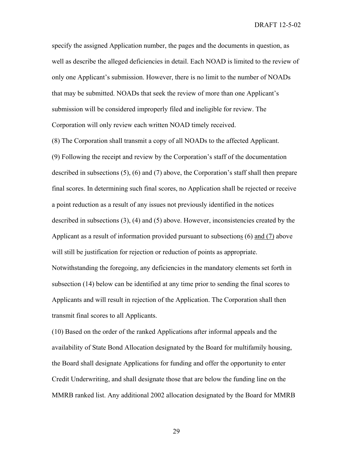specify the assigned Application number, the pages and the documents in question, as well as describe the alleged deficiencies in detail. Each NOAD is limited to the review of only one Applicant's submission. However, there is no limit to the number of NOADs that may be submitted. NOADs that seek the review of more than one Applicant's submission will be considered improperly filed and ineligible for review. The Corporation will only review each written NOAD timely received.

(8) The Corporation shall transmit a copy of all NOADs to the affected Applicant. (9) Following the receipt and review by the Corporation's staff of the documentation described in subsections (5), (6) and (7) above, the Corporation's staff shall then prepare final scores. In determining such final scores, no Application shall be rejected or receive a point reduction as a result of any issues not previously identified in the notices described in subsections (3), (4) and (5) above. However, inconsistencies created by the Applicant as a result of information provided pursuant to subsections (6) and (7) above will still be justification for rejection or reduction of points as appropriate. Notwithstanding the foregoing, any deficiencies in the mandatory elements set forth in subsection (14) below can be identified at any time prior to sending the final scores to Applicants and will result in rejection of the Application. The Corporation shall then transmit final scores to all Applicants.

(10) Based on the order of the ranked Applications after informal appeals and the availability of State Bond Allocation designated by the Board for multifamily housing, the Board shall designate Applications for funding and offer the opportunity to enter Credit Underwriting, and shall designate those that are below the funding line on the MMRB ranked list. Any additional 2002 allocation designated by the Board for MMRB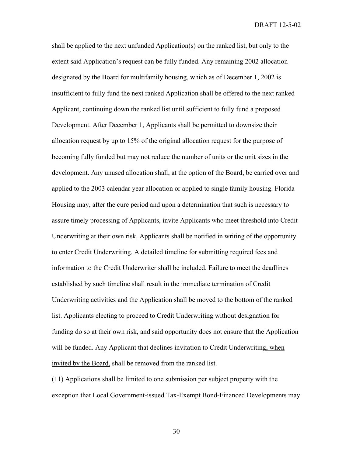shall be applied to the next unfunded Application(s) on the ranked list, but only to the extent said Application's request can be fully funded. Any remaining 2002 allocation designated by the Board for multifamily housing, which as of December 1, 2002 is insufficient to fully fund the next ranked Application shall be offered to the next ranked Applicant, continuing down the ranked list until sufficient to fully fund a proposed Development. After December 1, Applicants shall be permitted to downsize their allocation request by up to 15% of the original allocation request for the purpose of becoming fully funded but may not reduce the number of units or the unit sizes in the development. Any unused allocation shall, at the option of the Board, be carried over and applied to the 2003 calendar year allocation or applied to single family housing. Florida Housing may, after the cure period and upon a determination that such is necessary to assure timely processing of Applicants, invite Applicants who meet threshold into Credit Underwriting at their own risk. Applicants shall be notified in writing of the opportunity to enter Credit Underwriting. A detailed timeline for submitting required fees and information to the Credit Underwriter shall be included. Failure to meet the deadlines established by such timeline shall result in the immediate termination of Credit Underwriting activities and the Application shall be moved to the bottom of the ranked list. Applicants electing to proceed to Credit Underwriting without designation for funding do so at their own risk, and said opportunity does not ensure that the Application will be funded. Any Applicant that declines invitation to Credit Underwriting, when invited by the Board, shall be removed from the ranked list.

(11) Applications shall be limited to one submission per subject property with the exception that Local Government-issued Tax-Exempt Bond-Financed Developments may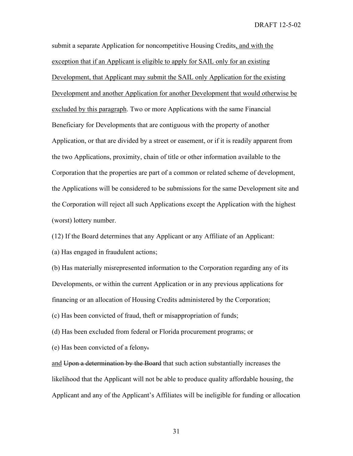submit a separate Application for noncompetitive Housing Credits, and with the exception that if an Applicant is eligible to apply for SAIL only for an existing Development, that Applicant may submit the SAIL only Application for the existing Development and another Application for another Development that would otherwise be excluded by this paragraph. Two or more Applications with the same Financial Beneficiary for Developments that are contiguous with the property of another Application, or that are divided by a street or easement, or if it is readily apparent from the two Applications, proximity, chain of title or other information available to the Corporation that the properties are part of a common or related scheme of development, the Applications will be considered to be submissions for the same Development site and the Corporation will reject all such Applications except the Application with the highest (worst) lottery number.

(12) If the Board determines that any Applicant or any Affiliate of an Applicant:

(a) Has engaged in fraudulent actions;

(b) Has materially misrepresented information to the Corporation regarding any of its Developments, or within the current Application or in any previous applications for financing or an allocation of Housing Credits administered by the Corporation;

(c) Has been convicted of fraud, theft or misappropriation of funds;

(d) Has been excluded from federal or Florida procurement programs; or

(e) Has been convicted of a felony.

and Upon a determination by the Board that such action substantially increases the likelihood that the Applicant will not be able to produce quality affordable housing, the Applicant and any of the Applicant's Affiliates will be ineligible for funding or allocation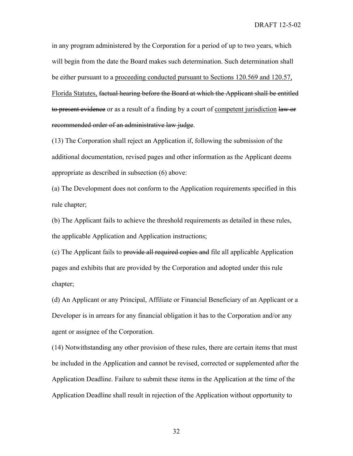in any program administered by the Corporation for a period of up to two years, which will begin from the date the Board makes such determination. Such determination shall be either pursuant to a proceeding conducted pursuant to Sections 120.569 and 120.57, Florida Statutes, factual hearing before the Board at which the Applicant shall be entitled to present evidence or as a result of a finding by a court of competent jurisdiction law or recommended order of an administrative law judge.

(13) The Corporation shall reject an Application if, following the submission of the additional documentation, revised pages and other information as the Applicant deems appropriate as described in subsection (6) above:

(a) The Development does not conform to the Application requirements specified in this rule chapter;

(b) The Applicant fails to achieve the threshold requirements as detailed in these rules, the applicable Application and Application instructions;

(c) The Applicant fails to provide all required copies and file all applicable Application pages and exhibits that are provided by the Corporation and adopted under this rule chapter;

(d) An Applicant or any Principal, Affiliate or Financial Beneficiary of an Applicant or a Developer is in arrears for any financial obligation it has to the Corporation and/or any agent or assignee of the Corporation.

(14) Notwithstanding any other provision of these rules, there are certain items that must be included in the Application and cannot be revised, corrected or supplemented after the Application Deadline. Failure to submit these items in the Application at the time of the Application Deadline shall result in rejection of the Application without opportunity to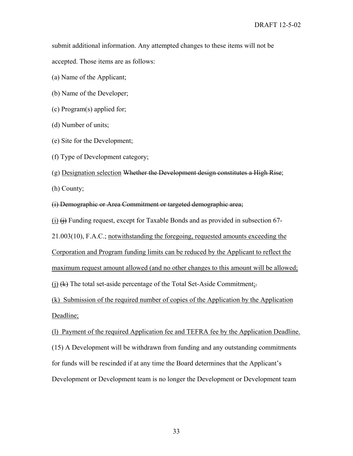submit additional information. Any attempted changes to these items will not be accepted. Those items are as follows:

(a) Name of the Applicant;

(b) Name of the Developer;

(c) Program(s) applied for;

(d) Number of units;

(e) Site for the Development;

(f) Type of Development category;

(g) Designation selection Whether the Development design constitutes a High Rise;

(h) County;

(i) Demographic or Area Commitment or targeted demographic area;

(i)  $\leftrightarrow$  Funding request, except for Taxable Bonds and as provided in subsection 67-

21.003(10), F.A.C.; notwithstanding the foregoing, requested amounts exceeding the

Corporation and Program funding limits can be reduced by the Applicant to reflect the

maximum request amount allowed (and no other changes to this amount will be allowed;

(j)  $(k)$  The total set-aside percentage of the Total Set-Aside Commitment;

(k) Submission of the required number of copies of the Application by the Application Deadline;

(l) Payment of the required Application fee and TEFRA fee by the Application Deadline.

(15) A Development will be withdrawn from funding and any outstanding commitments

for funds will be rescinded if at any time the Board determines that the Applicant's

Development or Development team is no longer the Development or Development team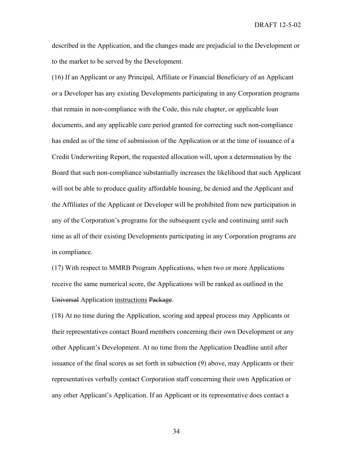described in the Application, and the changes made are prejudicial to the Development or to the market to be served by the Development.

(16) If an Applicant or any Principal, Affiliate or Financial Beneficiary of an Applicant or a Developer has any existing Developments participating in any Corporation programs that remain in non-compliance with the Code, this rule chapter, or applicable loan documents, and any applicable cure period granted for correcting such non-compliance has ended as of the time of submission of the Application or at the time of issuance of a Credit Underwriting Report, the requested allocation will, upon a determination by the Board that such non-compliance substantially increases the likelihood that such Applicant will not be able to produce quality affordable housing, be denied and the Applicant and the Affiliates of the Applicant or Developer will be prohibited from new participation in any of the Corporation's programs for the subsequent cycle and continuing until such time as all of their existing Developments participating in any Corporation programs are in compliance.

(17) With respect to MMRB Program Applications, when two or more Applications receive the same numerical score, the Applications will be ranked as outlined in the Universal Application instructions Package.

(18) At no time during the Application, scoring and appeal process may Applicants or their representatives contact Board members concerning their own Development or any other Applicant's Development. At no time from the Application Deadline until after issuance of the final scores as set forth in subsection (9) above, may Applicants or their representatives verbally contact Corporation staff concerning their own Application or any other Applicant's Application. If an Applicant or its representative does contact a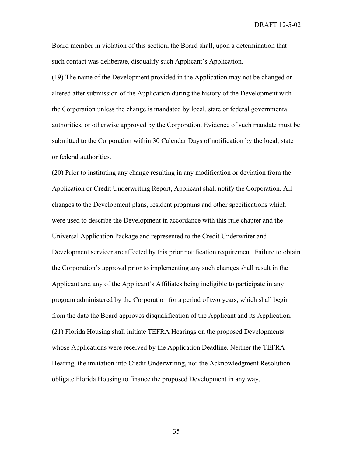Board member in violation of this section, the Board shall, upon a determination that such contact was deliberate, disqualify such Applicant's Application.

(19) The name of the Development provided in the Application may not be changed or altered after submission of the Application during the history of the Development with the Corporation unless the change is mandated by local, state or federal governmental authorities, or otherwise approved by the Corporation. Evidence of such mandate must be submitted to the Corporation within 30 Calendar Days of notification by the local, state or federal authorities.

(20) Prior to instituting any change resulting in any modification or deviation from the Application or Credit Underwriting Report, Applicant shall notify the Corporation. All changes to the Development plans, resident programs and other specifications which were used to describe the Development in accordance with this rule chapter and the Universal Application Package and represented to the Credit Underwriter and Development servicer are affected by this prior notification requirement. Failure to obtain the Corporation's approval prior to implementing any such changes shall result in the Applicant and any of the Applicant's Affiliates being ineligible to participate in any program administered by the Corporation for a period of two years, which shall begin from the date the Board approves disqualification of the Applicant and its Application. (21) Florida Housing shall initiate TEFRA Hearings on the proposed Developments whose Applications were received by the Application Deadline. Neither the TEFRA Hearing, the invitation into Credit Underwriting, nor the Acknowledgment Resolution obligate Florida Housing to finance the proposed Development in any way.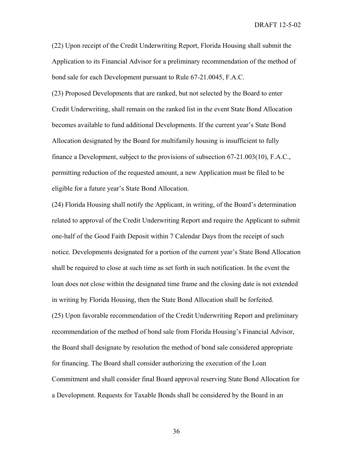(22) Upon receipt of the Credit Underwriting Report, Florida Housing shall submit the Application to its Financial Advisor for a preliminary recommendation of the method of bond sale for each Development pursuant to Rule 67-21.0045, F.A.C.

(23) Proposed Developments that are ranked, but not selected by the Board to enter Credit Underwriting, shall remain on the ranked list in the event State Bond Allocation becomes available to fund additional Developments. If the current year's State Bond Allocation designated by the Board for multifamily housing is insufficient to fully finance a Development, subject to the provisions of subsection 67-21.003(10), F.A.C., permitting reduction of the requested amount, a new Application must be filed to be eligible for a future year's State Bond Allocation.

(24) Florida Housing shall notify the Applicant, in writing, of the Board's determination related to approval of the Credit Underwriting Report and require the Applicant to submit one-half of the Good Faith Deposit within 7 Calendar Days from the receipt of such notice. Developments designated for a portion of the current year's State Bond Allocation shall be required to close at such time as set forth in such notification. In the event the loan does not close within the designated time frame and the closing date is not extended in writing by Florida Housing, then the State Bond Allocation shall be forfeited. (25) Upon favorable recommendation of the Credit Underwriting Report and preliminary recommendation of the method of bond sale from Florida Housing's Financial Advisor, the Board shall designate by resolution the method of bond sale considered appropriate for financing. The Board shall consider authorizing the execution of the Loan Commitment and shall consider final Board approval reserving State Bond Allocation for a Development. Requests for Taxable Bonds shall be considered by the Board in an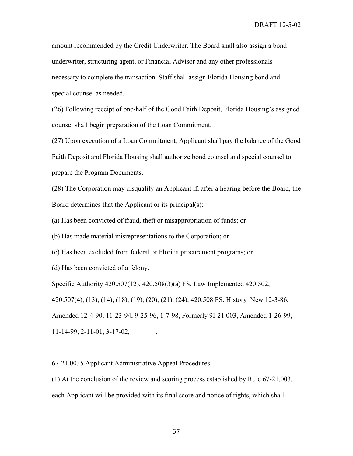amount recommended by the Credit Underwriter. The Board shall also assign a bond underwriter, structuring agent, or Financial Advisor and any other professionals necessary to complete the transaction. Staff shall assign Florida Housing bond and special counsel as needed.

(26) Following receipt of one-half of the Good Faith Deposit, Florida Housing's assigned counsel shall begin preparation of the Loan Commitment.

(27) Upon execution of a Loan Commitment, Applicant shall pay the balance of the Good Faith Deposit and Florida Housing shall authorize bond counsel and special counsel to prepare the Program Documents.

(28) The Corporation may disqualify an Applicant if, after a hearing before the Board, the Board determines that the Applicant or its principal(s):

(a) Has been convicted of fraud, theft or misappropriation of funds; or

(b) Has made material misrepresentations to the Corporation; or

(c) Has been excluded from federal or Florida procurement programs; or

(d) Has been convicted of a felony.

Specific Authority 420.507(12), 420.508(3)(a) FS. Law Implemented 420.502, 420.507(4), (13), (14), (18), (19), (20), (21), (24), 420.508 FS. History–New 12-3-86, Amended 12-4-90, 11-23-94, 9-25-96, 1-7-98, Formerly 9I-21.003, Amended 1-26-99,  $11-14-99, 2-11-01, 3-17-02,$ 

67-21.0035 Applicant Administrative Appeal Procedures.

(1) At the conclusion of the review and scoring process established by Rule 67-21.003, each Applicant will be provided with its final score and notice of rights, which shall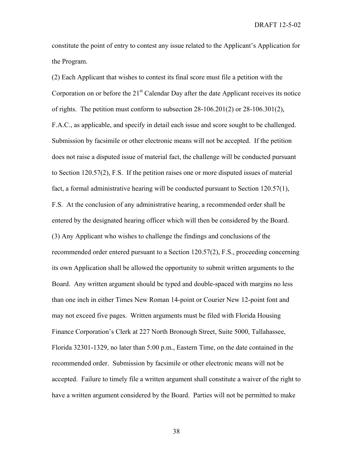constitute the point of entry to contest any issue related to the Applicant's Application for the Program.

(2) Each Applicant that wishes to contest its final score must file a petition with the Corporation on or before the  $21<sup>st</sup>$  Calendar Day after the date Applicant receives its notice of rights. The petition must conform to subsection  $28-106.201(2)$  or  $28-106.301(2)$ , F.A.C., as applicable, and specify in detail each issue and score sought to be challenged. Submission by facsimile or other electronic means will not be accepted. If the petition does not raise a disputed issue of material fact, the challenge will be conducted pursuant to Section 120.57(2), F.S. If the petition raises one or more disputed issues of material fact, a formal administrative hearing will be conducted pursuant to Section 120.57(1), F.S. At the conclusion of any administrative hearing, a recommended order shall be entered by the designated hearing officer which will then be considered by the Board. (3) Any Applicant who wishes to challenge the findings and conclusions of the recommended order entered pursuant to a Section 120.57(2), F.S., proceeding concerning its own Application shall be allowed the opportunity to submit written arguments to the Board. Any written argument should be typed and double-spaced with margins no less than one inch in either Times New Roman 14-point or Courier New 12-point font and may not exceed five pages. Written arguments must be filed with Florida Housing Finance Corporation's Clerk at 227 North Bronough Street, Suite 5000, Tallahassee, Florida 32301-1329, no later than 5:00 p.m., Eastern Time, on the date contained in the recommended order. Submission by facsimile or other electronic means will not be accepted. Failure to timely file a written argument shall constitute a waiver of the right to have a written argument considered by the Board. Parties will not be permitted to make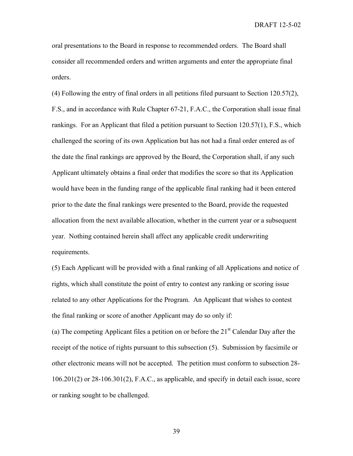oral presentations to the Board in response to recommended orders. The Board shall consider all recommended orders and written arguments and enter the appropriate final orders.

(4) Following the entry of final orders in all petitions filed pursuant to Section 120.57(2), F.S., and in accordance with Rule Chapter 67-21, F.A.C., the Corporation shall issue final rankings. For an Applicant that filed a petition pursuant to Section 120.57(1), F.S., which challenged the scoring of its own Application but has not had a final order entered as of the date the final rankings are approved by the Board, the Corporation shall, if any such Applicant ultimately obtains a final order that modifies the score so that its Application would have been in the funding range of the applicable final ranking had it been entered prior to the date the final rankings were presented to the Board, provide the requested allocation from the next available allocation, whether in the current year or a subsequent year. Nothing contained herein shall affect any applicable credit underwriting requirements.

(5) Each Applicant will be provided with a final ranking of all Applications and notice of rights, which shall constitute the point of entry to contest any ranking or scoring issue related to any other Applications for the Program. An Applicant that wishes to contest the final ranking or score of another Applicant may do so only if:

(a) The competing Applicant files a petition on or before the  $21<sup>st</sup>$  Calendar Day after the receipt of the notice of rights pursuant to this subsection (5). Submission by facsimile or other electronic means will not be accepted. The petition must conform to subsection 28- 106.201(2) or 28-106.301(2), F.A.C., as applicable, and specify in detail each issue, score or ranking sought to be challenged.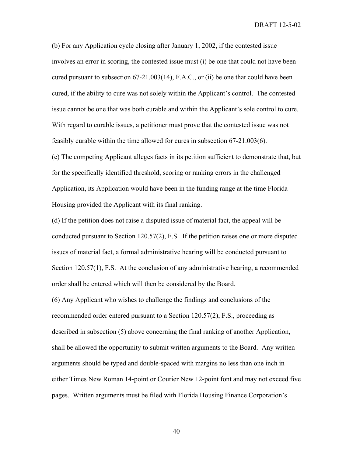(b) For any Application cycle closing after January 1, 2002, if the contested issue involves an error in scoring, the contested issue must (i) be one that could not have been cured pursuant to subsection 67-21.003(14), F.A.C., or (ii) be one that could have been cured, if the ability to cure was not solely within the Applicant's control. The contested issue cannot be one that was both curable and within the Applicant's sole control to cure. With regard to curable issues, a petitioner must prove that the contested issue was not feasibly curable within the time allowed for cures in subsection 67-21.003(6).

(c) The competing Applicant alleges facts in its petition sufficient to demonstrate that, but for the specifically identified threshold, scoring or ranking errors in the challenged Application, its Application would have been in the funding range at the time Florida Housing provided the Applicant with its final ranking.

(d) If the petition does not raise a disputed issue of material fact, the appeal will be conducted pursuant to Section 120.57(2), F.S. If the petition raises one or more disputed issues of material fact, a formal administrative hearing will be conducted pursuant to Section 120.57(1), F.S. At the conclusion of any administrative hearing, a recommended order shall be entered which will then be considered by the Board.

(6) Any Applicant who wishes to challenge the findings and conclusions of the recommended order entered pursuant to a Section 120.57(2), F.S., proceeding as described in subsection (5) above concerning the final ranking of another Application, shall be allowed the opportunity to submit written arguments to the Board. Any written arguments should be typed and double-spaced with margins no less than one inch in either Times New Roman 14-point or Courier New 12-point font and may not exceed five pages. Written arguments must be filed with Florida Housing Finance Corporation's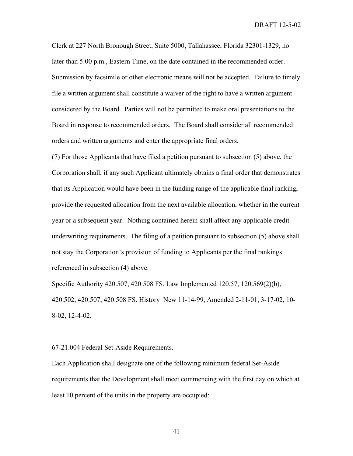Clerk at 227 North Bronough Street, Suite 5000, Tallahassee, Florida 32301-1329, no later than 5:00 p.m., Eastern Time, on the date contained in the recommended order. Submission by facsimile or other electronic means will not be accepted. Failure to timely file a written argument shall constitute a waiver of the right to have a written argument considered by the Board. Parties will not be permitted to make oral presentations to the Board in response to recommended orders. The Board shall consider all recommended orders and written arguments and enter the appropriate final orders.

(7) For those Applicants that have filed a petition pursuant to subsection (5) above, the Corporation shall, if any such Applicant ultimately obtains a final order that demonstrates that its Application would have been in the funding range of the applicable final ranking, provide the requested allocation from the next available allocation, whether in the current year or a subsequent year. Nothing contained herein shall affect any applicable credit underwriting requirements. The filing of a petition pursuant to subsection (5) above shall not stay the Corporation's provision of funding to Applicants per the final rankings referenced in subsection (4) above.

Specific Authority 420.507, 420.508 FS. Law Implemented 120.57, 120.569(2)(b), 420.502, 420.507, 420.508 FS. History–New 11-14-99, Amended 2-11-01, 3-17-02, 10- 8-02, 12-4-02.

## 67-21.004 Federal Set-Aside Requirements.

Each Application shall designate one of the following minimum federal Set-Aside requirements that the Development shall meet commencing with the first day on which at least 10 percent of the units in the property are occupied: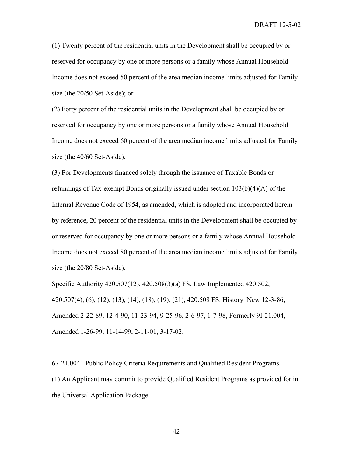(1) Twenty percent of the residential units in the Development shall be occupied by or reserved for occupancy by one or more persons or a family whose Annual Household Income does not exceed 50 percent of the area median income limits adjusted for Family size (the 20/50 Set-Aside); or

(2) Forty percent of the residential units in the Development shall be occupied by or reserved for occupancy by one or more persons or a family whose Annual Household Income does not exceed 60 percent of the area median income limits adjusted for Family size (the 40/60 Set-Aside).

(3) For Developments financed solely through the issuance of Taxable Bonds or refundings of Tax-exempt Bonds originally issued under section  $103(b)(4)(A)$  of the Internal Revenue Code of 1954, as amended, which is adopted and incorporated herein by reference, 20 percent of the residential units in the Development shall be occupied by or reserved for occupancy by one or more persons or a family whose Annual Household Income does not exceed 80 percent of the area median income limits adjusted for Family size (the 20/80 Set-Aside).

Specific Authority 420.507(12), 420.508(3)(a) FS. Law Implemented 420.502, 420.507(4), (6), (12), (13), (14), (18), (19), (21), 420.508 FS. History–New 12-3-86, Amended 2-22-89, 12-4-90, 11-23-94, 9-25-96, 2-6-97, 1-7-98, Formerly 9I-21.004, Amended 1-26-99, 11-14-99, 2-11-01, 3-17-02.

67-21.0041 Public Policy Criteria Requirements and Qualified Resident Programs. (1) An Applicant may commit to provide Qualified Resident Programs as provided for in the Universal Application Package.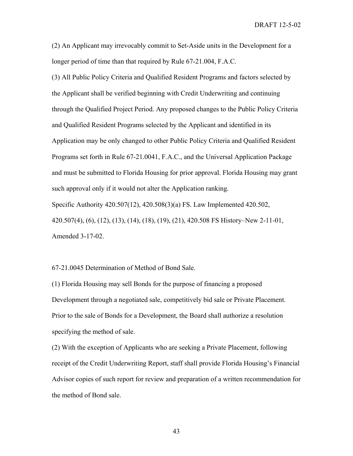(2) An Applicant may irrevocably commit to Set-Aside units in the Development for a longer period of time than that required by Rule 67-21.004, F.A.C.

(3) All Public Policy Criteria and Qualified Resident Programs and factors selected by the Applicant shall be verified beginning with Credit Underwriting and continuing through the Qualified Project Period. Any proposed changes to the Public Policy Criteria and Qualified Resident Programs selected by the Applicant and identified in its Application may be only changed to other Public Policy Criteria and Qualified Resident Programs set forth in Rule 67-21.0041, F.A.C., and the Universal Application Package and must be submitted to Florida Housing for prior approval. Florida Housing may grant such approval only if it would not alter the Application ranking. Specific Authority 420.507(12), 420.508(3)(a) FS. Law Implemented 420.502, 420.507(4), (6), (12), (13), (14), (18), (19), (21), 420.508 FS History–New 2-11-01, Amended 3-17-02.

67-21.0045 Determination of Method of Bond Sale.

(1) Florida Housing may sell Bonds for the purpose of financing a proposed Development through a negotiated sale, competitively bid sale or Private Placement. Prior to the sale of Bonds for a Development, the Board shall authorize a resolution specifying the method of sale.

(2) With the exception of Applicants who are seeking a Private Placement, following receipt of the Credit Underwriting Report, staff shall provide Florida Housing's Financial Advisor copies of such report for review and preparation of a written recommendation for the method of Bond sale.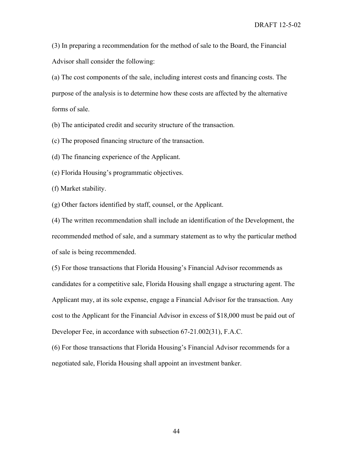(3) In preparing a recommendation for the method of sale to the Board, the Financial Advisor shall consider the following:

(a) The cost components of the sale, including interest costs and financing costs. The purpose of the analysis is to determine how these costs are affected by the alternative forms of sale.

(b) The anticipated credit and security structure of the transaction.

(c) The proposed financing structure of the transaction.

(d) The financing experience of the Applicant.

(e) Florida Housing's programmatic objectives.

(f) Market stability.

(g) Other factors identified by staff, counsel, or the Applicant.

(4) The written recommendation shall include an identification of the Development, the recommended method of sale, and a summary statement as to why the particular method of sale is being recommended.

(5) For those transactions that Florida Housing's Financial Advisor recommends as candidates for a competitive sale, Florida Housing shall engage a structuring agent. The Applicant may, at its sole expense, engage a Financial Advisor for the transaction. Any cost to the Applicant for the Financial Advisor in excess of \$18,000 must be paid out of Developer Fee, in accordance with subsection 67-21.002(31), F.A.C.

(6) For those transactions that Florida Housing's Financial Advisor recommends for a negotiated sale, Florida Housing shall appoint an investment banker.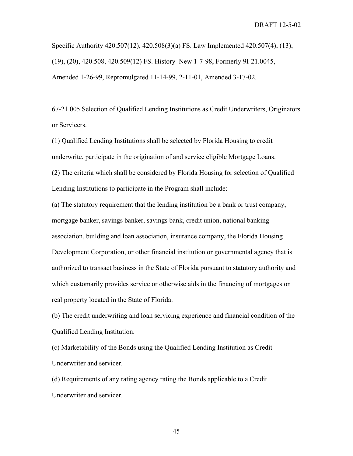Specific Authority 420.507(12), 420.508(3)(a) FS. Law Implemented 420.507(4), (13), (19), (20), 420.508, 420.509(12) FS. History–New 1-7-98, Formerly 9I-21.0045, Amended 1-26-99, Repromulgated 11-14-99, 2-11-01, Amended 3-17-02.

67-21.005 Selection of Qualified Lending Institutions as Credit Underwriters, Originators or Servicers.

(1) Qualified Lending Institutions shall be selected by Florida Housing to credit underwrite, participate in the origination of and service eligible Mortgage Loans.

(2) The criteria which shall be considered by Florida Housing for selection of Qualified Lending Institutions to participate in the Program shall include:

(a) The statutory requirement that the lending institution be a bank or trust company, mortgage banker, savings banker, savings bank, credit union, national banking association, building and loan association, insurance company, the Florida Housing Development Corporation, or other financial institution or governmental agency that is authorized to transact business in the State of Florida pursuant to statutory authority and which customarily provides service or otherwise aids in the financing of mortgages on real property located in the State of Florida.

(b) The credit underwriting and loan servicing experience and financial condition of the Qualified Lending Institution.

(c) Marketability of the Bonds using the Qualified Lending Institution as Credit Underwriter and servicer.

(d) Requirements of any rating agency rating the Bonds applicable to a Credit Underwriter and servicer.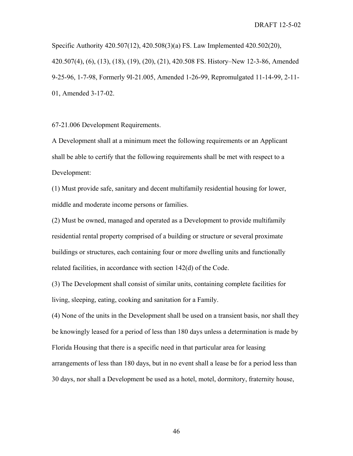Specific Authority 420.507(12), 420.508(3)(a) FS. Law Implemented 420.502(20), 420.507(4), (6), (13), (18), (19), (20), (21), 420.508 FS. History–New 12-3-86, Amended 9-25-96, 1-7-98, Formerly 9I-21.005, Amended 1-26-99, Repromulgated 11-14-99, 2-11- 01, Amended 3-17-02.

67-21.006 Development Requirements.

A Development shall at a minimum meet the following requirements or an Applicant shall be able to certify that the following requirements shall be met with respect to a Development:

(1) Must provide safe, sanitary and decent multifamily residential housing for lower, middle and moderate income persons or families.

(2) Must be owned, managed and operated as a Development to provide multifamily residential rental property comprised of a building or structure or several proximate buildings or structures, each containing four or more dwelling units and functionally related facilities, in accordance with section 142(d) of the Code.

(3) The Development shall consist of similar units, containing complete facilities for living, sleeping, eating, cooking and sanitation for a Family.

(4) None of the units in the Development shall be used on a transient basis, nor shall they be knowingly leased for a period of less than 180 days unless a determination is made by Florida Housing that there is a specific need in that particular area for leasing arrangements of less than 180 days, but in no event shall a lease be for a period less than 30 days, nor shall a Development be used as a hotel, motel, dormitory, fraternity house,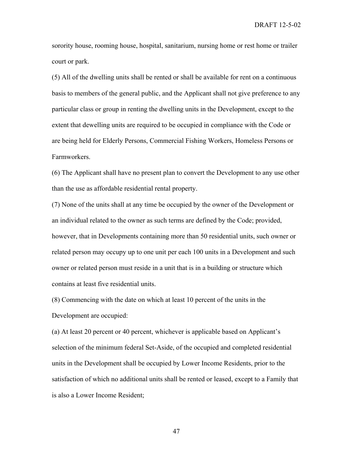sorority house, rooming house, hospital, sanitarium, nursing home or rest home or trailer court or park.

(5) All of the dwelling units shall be rented or shall be available for rent on a continuous basis to members of the general public, and the Applicant shall not give preference to any particular class or group in renting the dwelling units in the Development, except to the extent that dewelling units are required to be occupied in compliance with the Code or are being held for Elderly Persons, Commercial Fishing Workers, Homeless Persons or Farmworkers.

(6) The Applicant shall have no present plan to convert the Development to any use other than the use as affordable residential rental property.

(7) None of the units shall at any time be occupied by the owner of the Development or an individual related to the owner as such terms are defined by the Code; provided, however, that in Developments containing more than 50 residential units, such owner or related person may occupy up to one unit per each 100 units in a Development and such owner or related person must reside in a unit that is in a building or structure which contains at least five residential units.

(8) Commencing with the date on which at least 10 percent of the units in the Development are occupied:

(a) At least 20 percent or 40 percent, whichever is applicable based on Applicant's selection of the minimum federal Set-Aside, of the occupied and completed residential units in the Development shall be occupied by Lower Income Residents, prior to the satisfaction of which no additional units shall be rented or leased, except to a Family that is also a Lower Income Resident;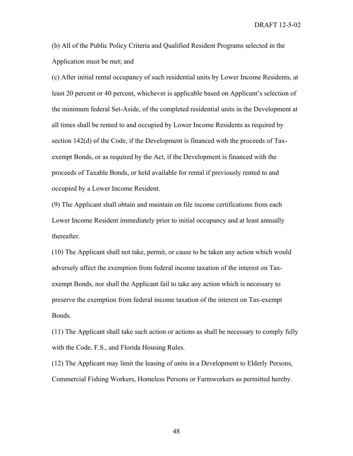(b) All of the Public Policy Criteria and Qualified Resident Programs selected in the Application must be met; and

(c) After initial rental occupancy of such residential units by Lower Income Residents, at least 20 percent or 40 percent, whichever is applicable based on Applicant's selection of the minimum federal Set-Aside, of the completed residential units in the Development at all times shall be rented to and occupied by Lower Income Residents as required by section 142(d) of the Code, if the Development is financed with the proceeds of Taxexempt Bonds, or as required by the Act, if the Development is financed with the proceeds of Taxable Bonds, or held available for rental if previously rented to and occupied by a Lower Income Resident.

(9) The Applicant shall obtain and maintain on file income certifications from each Lower Income Resident immediately prior to initial occupancy and at least annually thereafter.

(10) The Applicant shall not take, permit, or cause to be taken any action which would adversely affect the exemption from federal income taxation of the interest on Taxexempt Bonds, nor shall the Applicant fail to take any action which is necessary to preserve the exemption from federal income taxation of the interest on Tax-exempt Bonds.

(11) The Applicant shall take such action or actions as shall be necessary to comply fully with the Code, F.S., and Florida Housing Rules.

(12) The Applicant may limit the leasing of units in a Development to Elderly Persons, Commercial Fishing Workers, Homeless Persons or Farmworkers as permitted hereby.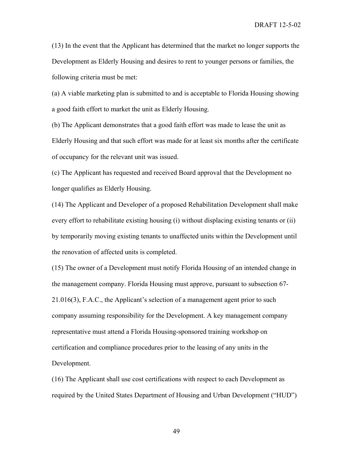(13) In the event that the Applicant has determined that the market no longer supports the Development as Elderly Housing and desires to rent to younger persons or families, the following criteria must be met:

(a) A viable marketing plan is submitted to and is acceptable to Florida Housing showing a good faith effort to market the unit as Elderly Housing.

(b) The Applicant demonstrates that a good faith effort was made to lease the unit as Elderly Housing and that such effort was made for at least six months after the certificate of occupancy for the relevant unit was issued.

(c) The Applicant has requested and received Board approval that the Development no longer qualifies as Elderly Housing.

(14) The Applicant and Developer of a proposed Rehabilitation Development shall make every effort to rehabilitate existing housing (i) without displacing existing tenants or (ii) by temporarily moving existing tenants to unaffected units within the Development until the renovation of affected units is completed.

(15) The owner of a Development must notify Florida Housing of an intended change in the management company. Florida Housing must approve, pursuant to subsection 67- 21.016(3), F.A.C., the Applicant's selection of a management agent prior to such company assuming responsibility for the Development. A key management company representative must attend a Florida Housing-sponsored training workshop on certification and compliance procedures prior to the leasing of any units in the Development.

(16) The Applicant shall use cost certifications with respect to each Development as required by the United States Department of Housing and Urban Development ("HUD")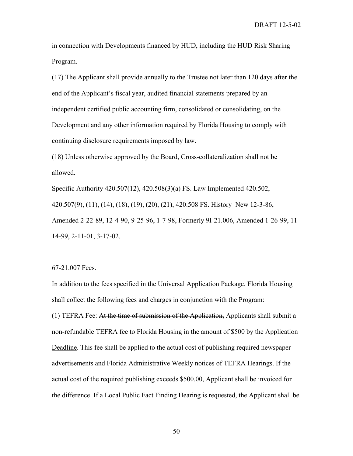in connection with Developments financed by HUD, including the HUD Risk Sharing Program.

(17) The Applicant shall provide annually to the Trustee not later than 120 days after the end of the Applicant's fiscal year, audited financial statements prepared by an independent certified public accounting firm, consolidated or consolidating, on the Development and any other information required by Florida Housing to comply with continuing disclosure requirements imposed by law.

(18) Unless otherwise approved by the Board, Cross-collateralization shall not be allowed.

Specific Authority 420.507(12), 420.508(3)(a) FS. Law Implemented 420.502, 420.507(9), (11), (14), (18), (19), (20), (21), 420.508 FS. History–New 12-3-86, Amended 2-22-89, 12-4-90, 9-25-96, 1-7-98, Formerly 9I-21.006, Amended 1-26-99, 11- 14-99, 2-11-01, 3-17-02.

## 67-21.007 Fees.

In addition to the fees specified in the Universal Application Package, Florida Housing shall collect the following fees and charges in conjunction with the Program: (1) TEFRA Fee: At the time of submission of the Application, Applicants shall submit a non-refundable TEFRA fee to Florida Housing in the amount of \$500 by the Application Deadline. This fee shall be applied to the actual cost of publishing required newspaper advertisements and Florida Administrative Weekly notices of TEFRA Hearings. If the actual cost of the required publishing exceeds \$500.00, Applicant shall be invoiced for the difference. If a Local Public Fact Finding Hearing is requested, the Applicant shall be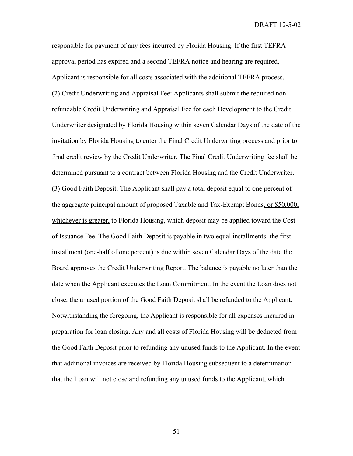responsible for payment of any fees incurred by Florida Housing. If the first TEFRA approval period has expired and a second TEFRA notice and hearing are required, Applicant is responsible for all costs associated with the additional TEFRA process. (2) Credit Underwriting and Appraisal Fee: Applicants shall submit the required nonrefundable Credit Underwriting and Appraisal Fee for each Development to the Credit Underwriter designated by Florida Housing within seven Calendar Days of the date of the invitation by Florida Housing to enter the Final Credit Underwriting process and prior to final credit review by the Credit Underwriter. The Final Credit Underwriting fee shall be determined pursuant to a contract between Florida Housing and the Credit Underwriter. (3) Good Faith Deposit: The Applicant shall pay a total deposit equal to one percent of the aggregate principal amount of proposed Taxable and Tax-Exempt Bonds, or \$50,000, whichever is greater, to Florida Housing, which deposit may be applied toward the Cost of Issuance Fee. The Good Faith Deposit is payable in two equal installments: the first installment (one-half of one percent) is due within seven Calendar Days of the date the Board approves the Credit Underwriting Report. The balance is payable no later than the date when the Applicant executes the Loan Commitment. In the event the Loan does not close, the unused portion of the Good Faith Deposit shall be refunded to the Applicant. Notwithstanding the foregoing, the Applicant is responsible for all expenses incurred in preparation for loan closing. Any and all costs of Florida Housing will be deducted from the Good Faith Deposit prior to refunding any unused funds to the Applicant. In the event that additional invoices are received by Florida Housing subsequent to a determination that the Loan will not close and refunding any unused funds to the Applicant, which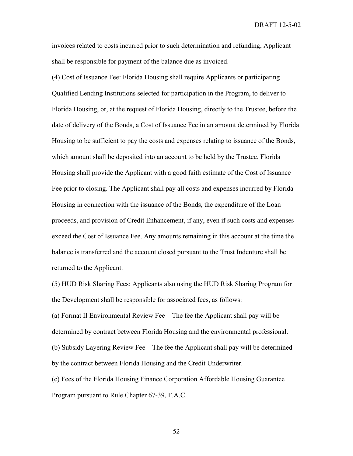invoices related to costs incurred prior to such determination and refunding, Applicant shall be responsible for payment of the balance due as invoiced.

(4) Cost of Issuance Fee: Florida Housing shall require Applicants or participating Qualified Lending Institutions selected for participation in the Program, to deliver to Florida Housing, or, at the request of Florida Housing, directly to the Trustee, before the date of delivery of the Bonds, a Cost of Issuance Fee in an amount determined by Florida Housing to be sufficient to pay the costs and expenses relating to issuance of the Bonds, which amount shall be deposited into an account to be held by the Trustee. Florida Housing shall provide the Applicant with a good faith estimate of the Cost of Issuance Fee prior to closing. The Applicant shall pay all costs and expenses incurred by Florida Housing in connection with the issuance of the Bonds, the expenditure of the Loan proceeds, and provision of Credit Enhancement, if any, even if such costs and expenses exceed the Cost of Issuance Fee. Any amounts remaining in this account at the time the balance is transferred and the account closed pursuant to the Trust Indenture shall be returned to the Applicant.

(5) HUD Risk Sharing Fees: Applicants also using the HUD Risk Sharing Program for the Development shall be responsible for associated fees, as follows:

(a) Format II Environmental Review Fee – The fee the Applicant shall pay will be determined by contract between Florida Housing and the environmental professional. (b) Subsidy Layering Review Fee – The fee the Applicant shall pay will be determined by the contract between Florida Housing and the Credit Underwriter.

(c) Fees of the Florida Housing Finance Corporation Affordable Housing Guarantee Program pursuant to Rule Chapter 67-39, F.A.C.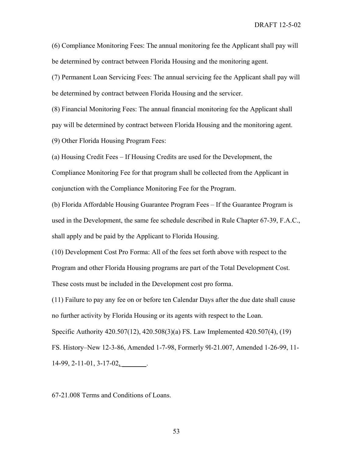(6) Compliance Monitoring Fees: The annual monitoring fee the Applicant shall pay will be determined by contract between Florida Housing and the monitoring agent.

(7) Permanent Loan Servicing Fees: The annual servicing fee the Applicant shall pay will be determined by contract between Florida Housing and the servicer.

(8) Financial Monitoring Fees: The annual financial monitoring fee the Applicant shall pay will be determined by contract between Florida Housing and the monitoring agent.

(9) Other Florida Housing Program Fees:

(a) Housing Credit Fees – If Housing Credits are used for the Development, the Compliance Monitoring Fee for that program shall be collected from the Applicant in conjunction with the Compliance Monitoring Fee for the Program.

(b) Florida Affordable Housing Guarantee Program Fees – If the Guarantee Program is used in the Development, the same fee schedule described in Rule Chapter 67-39, F.A.C., shall apply and be paid by the Applicant to Florida Housing.

(10) Development Cost Pro Forma: All of the fees set forth above with respect to the Program and other Florida Housing programs are part of the Total Development Cost. These costs must be included in the Development cost pro forma.

(11) Failure to pay any fee on or before ten Calendar Days after the due date shall cause no further activity by Florida Housing or its agents with respect to the Loan. Specific Authority 420.507(12), 420.508(3)(a) FS. Law Implemented 420.507(4), (19)

FS. History–New 12-3-86, Amended 1-7-98, Formerly 9I-21.007, Amended 1-26-99, 11- 14-99, 2-11-01, 3-17-02, \_\_\_\_\_\_\_.

67-21.008 Terms and Conditions of Loans.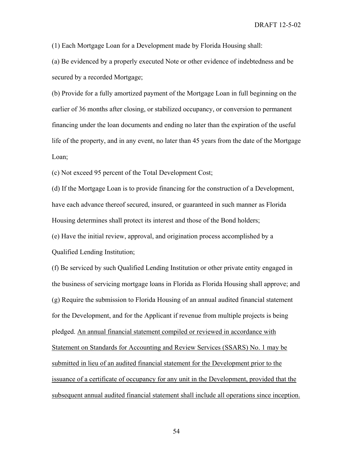(1) Each Mortgage Loan for a Development made by Florida Housing shall:

(a) Be evidenced by a properly executed Note or other evidence of indebtedness and be secured by a recorded Mortgage;

(b) Provide for a fully amortized payment of the Mortgage Loan in full beginning on the earlier of 36 months after closing, or stabilized occupancy, or conversion to permanent financing under the loan documents and ending no later than the expiration of the useful life of the property, and in any event, no later than 45 years from the date of the Mortgage Loan;

(c) Not exceed 95 percent of the Total Development Cost;

(d) If the Mortgage Loan is to provide financing for the construction of a Development, have each advance thereof secured, insured, or guaranteed in such manner as Florida Housing determines shall protect its interest and those of the Bond holders;

(e) Have the initial review, approval, and origination process accomplished by a Qualified Lending Institution;

(f) Be serviced by such Qualified Lending Institution or other private entity engaged in the business of servicing mortgage loans in Florida as Florida Housing shall approve; and (g) Require the submission to Florida Housing of an annual audited financial statement for the Development, and for the Applicant if revenue from multiple projects is being pledged. An annual financial statement compiled or reviewed in accordance with Statement on Standards for Accounting and Review Services (SSARS) No. 1 may be submitted in lieu of an audited financial statement for the Development prior to the issuance of a certificate of occupancy for any unit in the Development, provided that the subsequent annual audited financial statement shall include all operations since inception.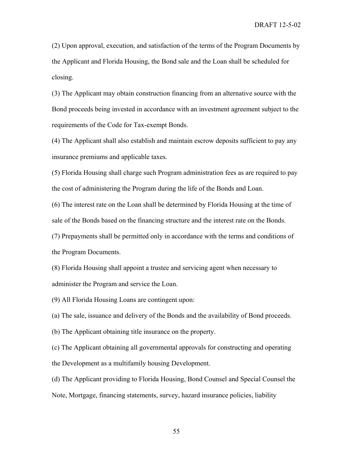(2) Upon approval, execution, and satisfaction of the terms of the Program Documents by the Applicant and Florida Housing, the Bond sale and the Loan shall be scheduled for closing.

(3) The Applicant may obtain construction financing from an alternative source with the Bond proceeds being invested in accordance with an investment agreement subject to the requirements of the Code for Tax-exempt Bonds.

(4) The Applicant shall also establish and maintain escrow deposits sufficient to pay any insurance premiums and applicable taxes.

(5) Florida Housing shall charge such Program administration fees as are required to pay the cost of administering the Program during the life of the Bonds and Loan.

(6) The interest rate on the Loan shall be determined by Florida Housing at the time of sale of the Bonds based on the financing structure and the interest rate on the Bonds.

(7) Prepayments shall be permitted only in accordance with the terms and conditions of the Program Documents.

(8) Florida Housing shall appoint a trustee and servicing agent when necessary to administer the Program and service the Loan.

(9) All Florida Housing Loans are contingent upon:

(a) The sale, issuance and delivery of the Bonds and the availability of Bond proceeds.

(b) The Applicant obtaining title insurance on the property.

(c) The Applicant obtaining all governmental approvals for constructing and operating the Development as a multifamily housing Development.

(d) The Applicant providing to Florida Housing, Bond Counsel and Special Counsel the Note, Mortgage, financing statements, survey, hazard insurance policies, liability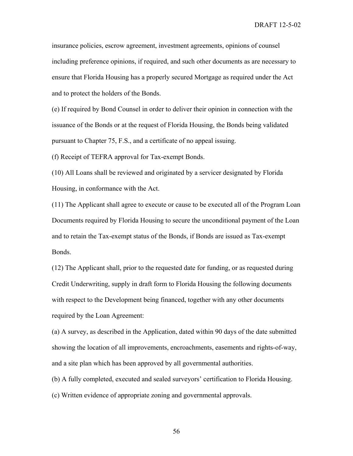insurance policies, escrow agreement, investment agreements, opinions of counsel including preference opinions, if required, and such other documents as are necessary to ensure that Florida Housing has a properly secured Mortgage as required under the Act and to protect the holders of the Bonds.

(e) If required by Bond Counsel in order to deliver their opinion in connection with the issuance of the Bonds or at the request of Florida Housing, the Bonds being validated pursuant to Chapter 75, F.S., and a certificate of no appeal issuing.

(f) Receipt of TEFRA approval for Tax-exempt Bonds.

(10) All Loans shall be reviewed and originated by a servicer designated by Florida Housing, in conformance with the Act.

(11) The Applicant shall agree to execute or cause to be executed all of the Program Loan Documents required by Florida Housing to secure the unconditional payment of the Loan and to retain the Tax-exempt status of the Bonds, if Bonds are issued as Tax-exempt Bonds.

(12) The Applicant shall, prior to the requested date for funding, or as requested during Credit Underwriting, supply in draft form to Florida Housing the following documents with respect to the Development being financed, together with any other documents required by the Loan Agreement:

(a) A survey, as described in the Application, dated within 90 days of the date submitted showing the location of all improvements, encroachments, easements and rights-of-way, and a site plan which has been approved by all governmental authorities.

(b) A fully completed, executed and sealed surveyors' certification to Florida Housing.

(c) Written evidence of appropriate zoning and governmental approvals.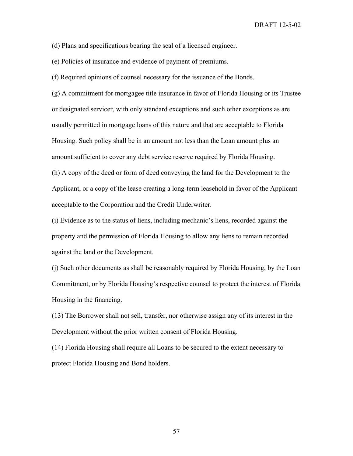(d) Plans and specifications bearing the seal of a licensed engineer.

(e) Policies of insurance and evidence of payment of premiums.

(f) Required opinions of counsel necessary for the issuance of the Bonds.

(g) A commitment for mortgagee title insurance in favor of Florida Housing or its Trustee or designated servicer, with only standard exceptions and such other exceptions as are usually permitted in mortgage loans of this nature and that are acceptable to Florida Housing. Such policy shall be in an amount not less than the Loan amount plus an amount sufficient to cover any debt service reserve required by Florida Housing. (h) A copy of the deed or form of deed conveying the land for the Development to the Applicant, or a copy of the lease creating a long-term leasehold in favor of the Applicant acceptable to the Corporation and the Credit Underwriter.

(i) Evidence as to the status of liens, including mechanic's liens, recorded against the property and the permission of Florida Housing to allow any liens to remain recorded against the land or the Development.

(j) Such other documents as shall be reasonably required by Florida Housing, by the Loan Commitment, or by Florida Housing's respective counsel to protect the interest of Florida Housing in the financing.

(13) The Borrower shall not sell, transfer, nor otherwise assign any of its interest in the Development without the prior written consent of Florida Housing.

(14) Florida Housing shall require all Loans to be secured to the extent necessary to protect Florida Housing and Bond holders.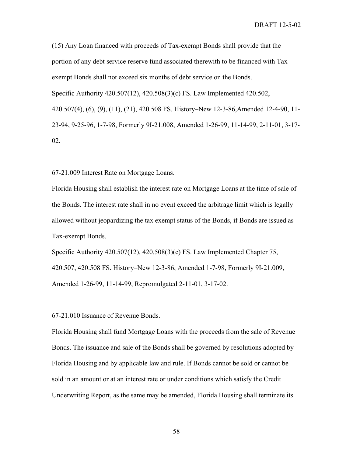(15) Any Loan financed with proceeds of Tax-exempt Bonds shall provide that the portion of any debt service reserve fund associated therewith to be financed with Taxexempt Bonds shall not exceed six months of debt service on the Bonds. Specific Authority 420.507(12), 420.508(3)(c) FS. Law Implemented 420.502, 420.507(4), (6), (9), (11), (21), 420.508 FS. History–New 12-3-86,Amended 12-4-90, 11- 23-94, 9-25-96, 1-7-98, Formerly 9I-21.008, Amended 1-26-99, 11-14-99, 2-11-01, 3-17- 02.

67-21.009 Interest Rate on Mortgage Loans.

Florida Housing shall establish the interest rate on Mortgage Loans at the time of sale of the Bonds. The interest rate shall in no event exceed the arbitrage limit which is legally allowed without jeopardizing the tax exempt status of the Bonds, if Bonds are issued as Tax-exempt Bonds.

Specific Authority 420.507(12), 420.508(3)(c) FS. Law Implemented Chapter 75, 420.507, 420.508 FS. History–New 12-3-86, Amended 1-7-98, Formerly 9I-21.009, Amended 1-26-99, 11-14-99, Repromulgated 2-11-01, 3-17-02.

67-21.010 Issuance of Revenue Bonds.

Florida Housing shall fund Mortgage Loans with the proceeds from the sale of Revenue Bonds. The issuance and sale of the Bonds shall be governed by resolutions adopted by Florida Housing and by applicable law and rule. If Bonds cannot be sold or cannot be sold in an amount or at an interest rate or under conditions which satisfy the Credit Underwriting Report, as the same may be amended, Florida Housing shall terminate its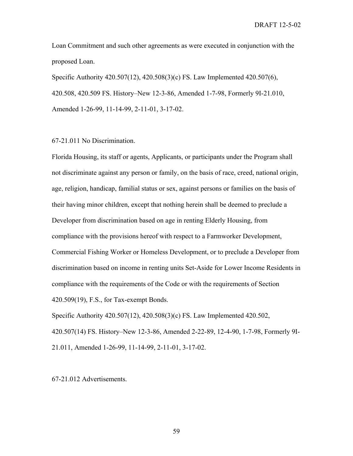Loan Commitment and such other agreements as were executed in conjunction with the proposed Loan.

Specific Authority 420.507(12), 420.508(3)(c) FS. Law Implemented 420.507(6), 420.508, 420.509 FS. History–New 12-3-86, Amended 1-7-98, Formerly 9I-21.010, Amended 1-26-99, 11-14-99, 2-11-01, 3-17-02.

## 67-21.011 No Discrimination.

Florida Housing, its staff or agents, Applicants, or participants under the Program shall not discriminate against any person or family, on the basis of race, creed, national origin, age, religion, handicap, familial status or sex, against persons or families on the basis of their having minor children, except that nothing herein shall be deemed to preclude a Developer from discrimination based on age in renting Elderly Housing, from compliance with the provisions hereof with respect to a Farmworker Development, Commercial Fishing Worker or Homeless Development, or to preclude a Developer from discrimination based on income in renting units Set-Aside for Lower Income Residents in compliance with the requirements of the Code or with the requirements of Section 420.509(19), F.S., for Tax-exempt Bonds.

Specific Authority 420.507(12), 420.508(3)(c) FS. Law Implemented 420.502, 420.507(14) FS. History–New 12-3-86, Amended 2-22-89, 12-4-90, 1-7-98, Formerly 9I-21.011, Amended 1-26-99, 11-14-99, 2-11-01, 3-17-02.

67-21.012 Advertisements.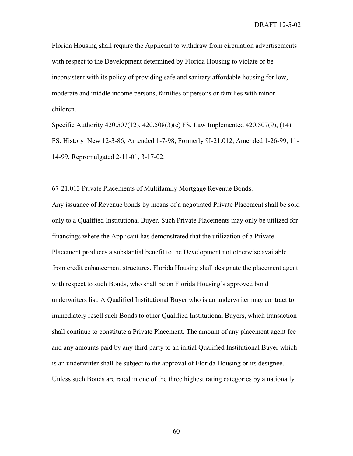Florida Housing shall require the Applicant to withdraw from circulation advertisements with respect to the Development determined by Florida Housing to violate or be inconsistent with its policy of providing safe and sanitary affordable housing for low, moderate and middle income persons, families or persons or families with minor children.

Specific Authority 420.507(12), 420.508(3)(c) FS. Law Implemented 420.507(9), (14) FS. History–New 12-3-86, Amended 1-7-98, Formerly 9I-21.012, Amended 1-26-99, 11- 14-99, Repromulgated 2-11-01, 3-17-02.

67-21.013 Private Placements of Multifamily Mortgage Revenue Bonds.

Any issuance of Revenue bonds by means of a negotiated Private Placement shall be sold only to a Qualified Institutional Buyer. Such Private Placements may only be utilized for financings where the Applicant has demonstrated that the utilization of a Private Placement produces a substantial benefit to the Development not otherwise available from credit enhancement structures. Florida Housing shall designate the placement agent with respect to such Bonds, who shall be on Florida Housing's approved bond underwriters list. A Qualified Institutional Buyer who is an underwriter may contract to immediately resell such Bonds to other Qualified Institutional Buyers, which transaction shall continue to constitute a Private Placement. The amount of any placement agent fee and any amounts paid by any third party to an initial Qualified Institutional Buyer which is an underwriter shall be subject to the approval of Florida Housing or its designee. Unless such Bonds are rated in one of the three highest rating categories by a nationally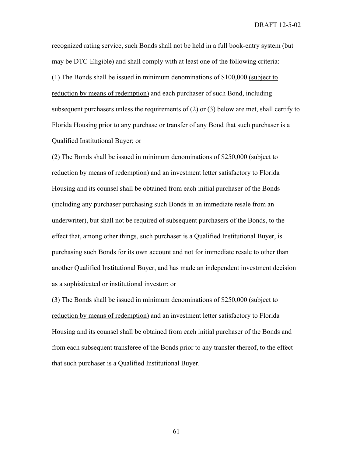recognized rating service, such Bonds shall not be held in a full book-entry system (but may be DTC-Eligible) and shall comply with at least one of the following criteria: (1) The Bonds shall be issued in minimum denominations of \$100,000 (subject to reduction by means of redemption) and each purchaser of such Bond, including subsequent purchasers unless the requirements of (2) or (3) below are met, shall certify to Florida Housing prior to any purchase or transfer of any Bond that such purchaser is a Qualified Institutional Buyer; or

(2) The Bonds shall be issued in minimum denominations of \$250,000 (subject to reduction by means of redemption) and an investment letter satisfactory to Florida Housing and its counsel shall be obtained from each initial purchaser of the Bonds (including any purchaser purchasing such Bonds in an immediate resale from an underwriter), but shall not be required of subsequent purchasers of the Bonds, to the effect that, among other things, such purchaser is a Qualified Institutional Buyer, is purchasing such Bonds for its own account and not for immediate resale to other than another Qualified Institutional Buyer, and has made an independent investment decision as a sophisticated or institutional investor; or

(3) The Bonds shall be issued in minimum denominations of \$250,000 (subject to reduction by means of redemption) and an investment letter satisfactory to Florida Housing and its counsel shall be obtained from each initial purchaser of the Bonds and from each subsequent transferee of the Bonds prior to any transfer thereof, to the effect that such purchaser is a Qualified Institutional Buyer.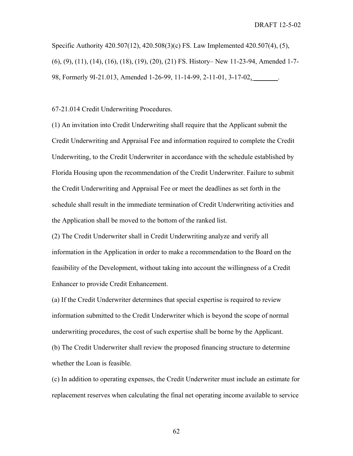Specific Authority 420.507(12), 420.508(3)(c) FS. Law Implemented 420.507(4), (5), (6), (9), (11), (14), (16), (18), (19), (20), (21) FS. History– New 11-23-94, Amended 1-7- 98, Formerly 9I-21.013, Amended 1-26-99, 11-14-99, 2-11-01, 3-17-02,

67-21.014 Credit Underwriting Procedures.

(1) An invitation into Credit Underwriting shall require that the Applicant submit the Credit Underwriting and Appraisal Fee and information required to complete the Credit Underwriting, to the Credit Underwriter in accordance with the schedule established by Florida Housing upon the recommendation of the Credit Underwriter. Failure to submit the Credit Underwriting and Appraisal Fee or meet the deadlines as set forth in the schedule shall result in the immediate termination of Credit Underwriting activities and the Application shall be moved to the bottom of the ranked list.

(2) The Credit Underwriter shall in Credit Underwriting analyze and verify all information in the Application in order to make a recommendation to the Board on the feasibility of the Development, without taking into account the willingness of a Credit Enhancer to provide Credit Enhancement.

(a) If the Credit Underwriter determines that special expertise is required to review information submitted to the Credit Underwriter which is beyond the scope of normal underwriting procedures, the cost of such expertise shall be borne by the Applicant. (b) The Credit Underwriter shall review the proposed financing structure to determine whether the Loan is feasible.

(c) In addition to operating expenses, the Credit Underwriter must include an estimate for replacement reserves when calculating the final net operating income available to service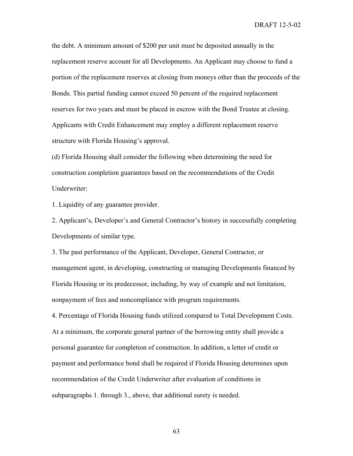the debt. A minimum amount of \$200 per unit must be deposited annually in the replacement reserve account for all Developments. An Applicant may choose to fund a portion of the replacement reserves at closing from moneys other than the proceeds of the Bonds. This partial funding cannot exceed 50 percent of the required replacement reserves for two years and must be placed in escrow with the Bond Trustee at closing. Applicants with Credit Enhancement may employ a different replacement reserve structure with Florida Housing's approval.

(d) Florida Housing shall consider the following when determining the need for construction completion guarantees based on the recommendations of the Credit Underwriter:

1. Liquidity of any guarantee provider.

2. Applicant's, Developer's and General Contractor's history in successfully completing Developments of similar type.

3. The past performance of the Applicant, Developer, General Contractor, or management agent, in developing, constructing or managing Developments financed by Florida Housing or its predecessor, including, by way of example and not limitation, nonpayment of fees and noncompliance with program requirements.

4. Percentage of Florida Housing funds utilized compared to Total Development Costs. At a minimum, the corporate general partner of the borrowing entity shall provide a personal guarantee for completion of construction. In addition, a letter of credit or payment and performance bond shall be required if Florida Housing determines upon recommendation of the Credit Underwriter after evaluation of conditions in subparagraphs 1. through 3., above, that additional surety is needed.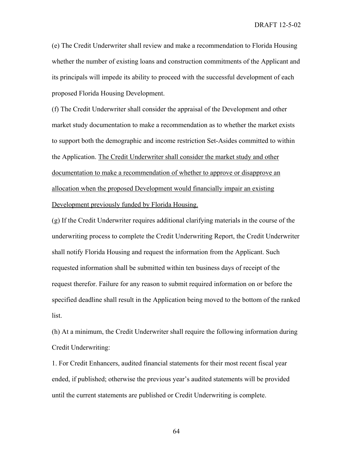(e) The Credit Underwriter shall review and make a recommendation to Florida Housing whether the number of existing loans and construction commitments of the Applicant and its principals will impede its ability to proceed with the successful development of each proposed Florida Housing Development.

(f) The Credit Underwriter shall consider the appraisal of the Development and other market study documentation to make a recommendation as to whether the market exists to support both the demographic and income restriction Set-Asides committed to within the Application. The Credit Underwriter shall consider the market study and other documentation to make a recommendation of whether to approve or disapprove an allocation when the proposed Development would financially impair an existing Development previously funded by Florida Housing.

(g) If the Credit Underwriter requires additional clarifying materials in the course of the underwriting process to complete the Credit Underwriting Report, the Credit Underwriter shall notify Florida Housing and request the information from the Applicant. Such requested information shall be submitted within ten business days of receipt of the request therefor. Failure for any reason to submit required information on or before the specified deadline shall result in the Application being moved to the bottom of the ranked list.

(h) At a minimum, the Credit Underwriter shall require the following information during Credit Underwriting:

1. For Credit Enhancers, audited financial statements for their most recent fiscal year ended, if published; otherwise the previous year's audited statements will be provided until the current statements are published or Credit Underwriting is complete.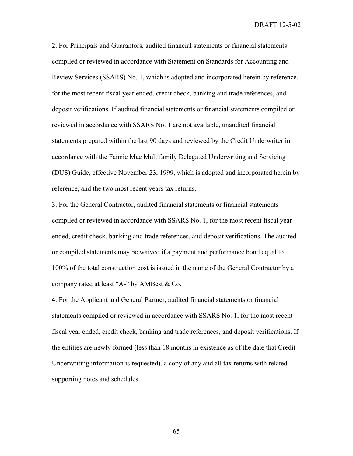2. For Principals and Guarantors, audited financial statements or financial statements compiled or reviewed in accordance with Statement on Standards for Accounting and Review Services (SSARS) No. 1, which is adopted and incorporated herein by reference, for the most recent fiscal year ended, credit check, banking and trade references, and deposit verifications. If audited financial statements or financial statements compiled or reviewed in accordance with SSARS No. 1 are not available, unaudited financial statements prepared within the last 90 days and reviewed by the Credit Underwriter in accordance with the Fannie Mae Multifamily Delegated Underwriting and Servicing (DUS) Guide, effective November 23, 1999, which is adopted and incorporated herein by reference, and the two most recent years tax returns.

3. For the General Contractor, audited financial statements or financial statements compiled or reviewed in accordance with SSARS No. 1, for the most recent fiscal year ended, credit check, banking and trade references, and deposit verifications. The audited or compiled statements may be waived if a payment and performance bond equal to 100% of the total construction cost is issued in the name of the General Contractor by a company rated at least "A-" by AMBest & Co.

4. For the Applicant and General Partner, audited financial statements or financial statements compiled or reviewed in accordance with SSARS No. 1, for the most recent fiscal year ended, credit check, banking and trade references, and deposit verifications. If the entities are newly formed (less than 18 months in existence as of the date that Credit Underwriting information is requested), a copy of any and all tax returns with related supporting notes and schedules.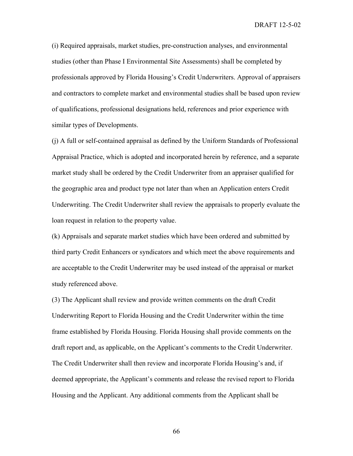(i) Required appraisals, market studies, pre-construction analyses, and environmental studies (other than Phase I Environmental Site Assessments) shall be completed by professionals approved by Florida Housing's Credit Underwriters. Approval of appraisers and contractors to complete market and environmental studies shall be based upon review of qualifications, professional designations held, references and prior experience with similar types of Developments.

(j) A full or self-contained appraisal as defined by the Uniform Standards of Professional Appraisal Practice, which is adopted and incorporated herein by reference, and a separate market study shall be ordered by the Credit Underwriter from an appraiser qualified for the geographic area and product type not later than when an Application enters Credit Underwriting. The Credit Underwriter shall review the appraisals to properly evaluate the loan request in relation to the property value.

(k) Appraisals and separate market studies which have been ordered and submitted by third party Credit Enhancers or syndicators and which meet the above requirements and are acceptable to the Credit Underwriter may be used instead of the appraisal or market study referenced above.

(3) The Applicant shall review and provide written comments on the draft Credit Underwriting Report to Florida Housing and the Credit Underwriter within the time frame established by Florida Housing. Florida Housing shall provide comments on the draft report and, as applicable, on the Applicant's comments to the Credit Underwriter. The Credit Underwriter shall then review and incorporate Florida Housing's and, if deemed appropriate, the Applicant's comments and release the revised report to Florida Housing and the Applicant. Any additional comments from the Applicant shall be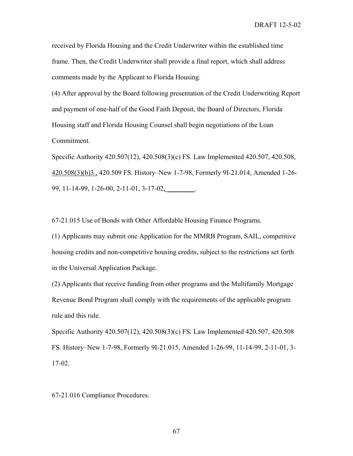received by Florida Housing and the Credit Underwriter within the established time frame. Then, the Credit Underwriter shall provide a final report, which shall address comments made by the Applicant to Florida Housing.

(4) After approval by the Board following presentation of the Credit Underwriting Report and payment of one-half of the Good Faith Deposit, the Board of Directors, Florida Housing staff and Florida Housing Counsel shall begin negotiations of the Loan Commitment.

Specific Authority 420.507(12), 420.508(3)(c) FS. Law Implemented 420.507, 420.508, 420.508(3)(b)3., 420.509 FS. History–New 1-7-98, Formerly 9I-21.014, Amended 1-26- 99, 11-14-99, 1-26-00, 2-11-01, 3-17-02, \_\_\_\_\_\_\_\_.

67-21.015 Use of Bonds with Other Affordable Housing Finance Programs.

(1) Applicants may submit one Application for the MMRB Program, SAIL, competitive housing credits and non-competitive housing credits, subject to the restrictions set forth in the Universal Application Package.

(2) Applicants that receive funding from other programs and the Multifamily Mortgage Revenue Bond Program shall comply with the requirements of the applicable program rule and this rule.

Specific Authority 420.507(12), 420.508(3)(c) FS. Law Implemented 420.507, 420.508 FS. History–New 1-7-98, Formerly 9I-21.015, Amended 1-26-99, 11-14-99, 2-11-01, 3- 17-02.

67-21.016 Compliance Procedures.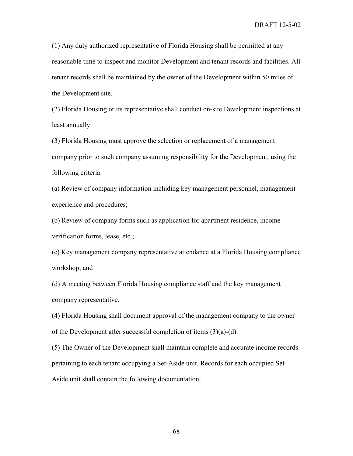(1) Any duly authorized representative of Florida Housing shall be permitted at any reasonable time to inspect and monitor Development and tenant records and facilities. All tenant records shall be maintained by the owner of the Development within 50 miles of the Development site.

(2) Florida Housing or its representative shall conduct on-site Development inspections at least annually.

(3) Florida Housing must approve the selection or replacement of a management company prior to such company assuming responsibility for the Development, using the following criteria:

(a) Review of company information including key management personnel, management experience and procedures;

(b) Review of company forms such as application for apartment residence, income verification forms, lease, etc.;

(c) Key management company representative attendance at a Florida Housing compliance workshop; and

(d) A meeting between Florida Housing compliance staff and the key management company representative.

(4) Florida Housing shall document approval of the management company to the owner of the Development after successful completion of items (3)(a)-(d).

(5) The Owner of the Development shall maintain complete and accurate income records pertaining to each tenant occupying a Set-Aside unit. Records for each occupied Set-Aside unit shall contain the following documentation: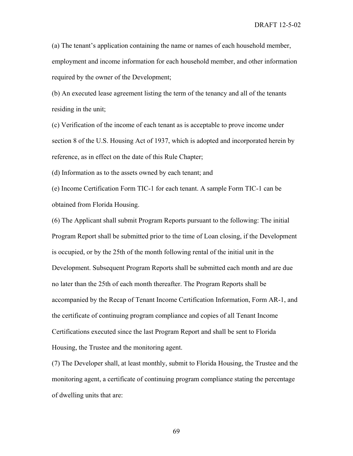(a) The tenant's application containing the name or names of each household member, employment and income information for each household member, and other information required by the owner of the Development;

(b) An executed lease agreement listing the term of the tenancy and all of the tenants residing in the unit;

(c) Verification of the income of each tenant as is acceptable to prove income under section 8 of the U.S. Housing Act of 1937, which is adopted and incorporated herein by reference, as in effect on the date of this Rule Chapter;

(d) Information as to the assets owned by each tenant; and

(e) Income Certification Form TIC-1 for each tenant. A sample Form TIC-1 can be obtained from Florida Housing.

(6) The Applicant shall submit Program Reports pursuant to the following: The initial Program Report shall be submitted prior to the time of Loan closing, if the Development is occupied, or by the 25th of the month following rental of the initial unit in the Development. Subsequent Program Reports shall be submitted each month and are due no later than the 25th of each month thereafter. The Program Reports shall be accompanied by the Recap of Tenant Income Certification Information, Form AR-1, and the certificate of continuing program compliance and copies of all Tenant Income Certifications executed since the last Program Report and shall be sent to Florida Housing, the Trustee and the monitoring agent.

(7) The Developer shall, at least monthly, submit to Florida Housing, the Trustee and the monitoring agent, a certificate of continuing program compliance stating the percentage of dwelling units that are: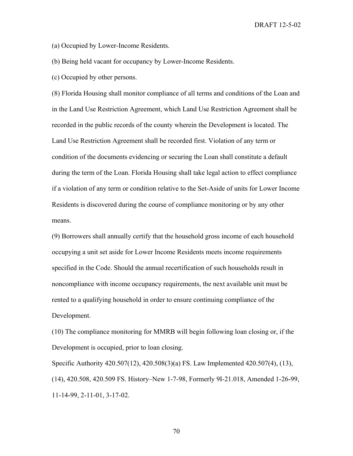(a) Occupied by Lower-Income Residents.

(b) Being held vacant for occupancy by Lower-Income Residents.

(c) Occupied by other persons.

(8) Florida Housing shall monitor compliance of all terms and conditions of the Loan and in the Land Use Restriction Agreement, which Land Use Restriction Agreement shall be recorded in the public records of the county wherein the Development is located. The Land Use Restriction Agreement shall be recorded first. Violation of any term or condition of the documents evidencing or securing the Loan shall constitute a default during the term of the Loan. Florida Housing shall take legal action to effect compliance if a violation of any term or condition relative to the Set-Aside of units for Lower Income Residents is discovered during the course of compliance monitoring or by any other means.

(9) Borrowers shall annually certify that the household gross income of each household occupying a unit set aside for Lower Income Residents meets income requirements specified in the Code. Should the annual recertification of such households result in noncompliance with income occupancy requirements, the next available unit must be rented to a qualifying household in order to ensure continuing compliance of the Development.

(10) The compliance monitoring for MMRB will begin following loan closing or, if the Development is occupied, prior to loan closing.

Specific Authority 420.507(12), 420.508(3)(a) FS. Law Implemented 420.507(4), (13), (14), 420.508, 420.509 FS. History–New 1-7-98, Formerly 9I-21.018, Amended 1-26-99, 11-14-99, 2-11-01, 3-17-02.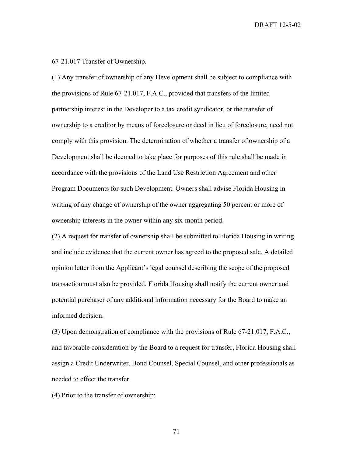67-21.017 Transfer of Ownership.

(1) Any transfer of ownership of any Development shall be subject to compliance with the provisions of Rule 67-21.017, F.A.C., provided that transfers of the limited partnership interest in the Developer to a tax credit syndicator, or the transfer of ownership to a creditor by means of foreclosure or deed in lieu of foreclosure, need not comply with this provision. The determination of whether a transfer of ownership of a Development shall be deemed to take place for purposes of this rule shall be made in accordance with the provisions of the Land Use Restriction Agreement and other Program Documents for such Development. Owners shall advise Florida Housing in writing of any change of ownership of the owner aggregating 50 percent or more of ownership interests in the owner within any six-month period.

(2) A request for transfer of ownership shall be submitted to Florida Housing in writing and include evidence that the current owner has agreed to the proposed sale. A detailed opinion letter from the Applicant's legal counsel describing the scope of the proposed transaction must also be provided. Florida Housing shall notify the current owner and potential purchaser of any additional information necessary for the Board to make an informed decision.

(3) Upon demonstration of compliance with the provisions of Rule 67-21.017, F.A.C., and favorable consideration by the Board to a request for transfer, Florida Housing shall assign a Credit Underwriter, Bond Counsel, Special Counsel, and other professionals as needed to effect the transfer.

(4) Prior to the transfer of ownership: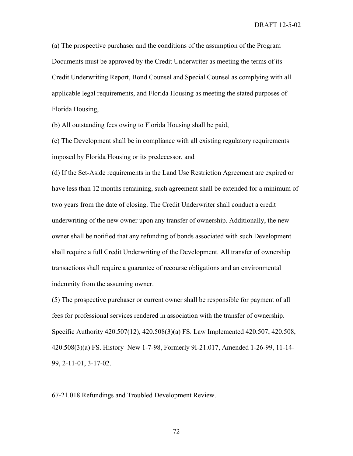(a) The prospective purchaser and the conditions of the assumption of the Program Documents must be approved by the Credit Underwriter as meeting the terms of its Credit Underwriting Report, Bond Counsel and Special Counsel as complying with all applicable legal requirements, and Florida Housing as meeting the stated purposes of Florida Housing,

(b) All outstanding fees owing to Florida Housing shall be paid,

(c) The Development shall be in compliance with all existing regulatory requirements imposed by Florida Housing or its predecessor, and

(d) If the Set-Aside requirements in the Land Use Restriction Agreement are expired or have less than 12 months remaining, such agreement shall be extended for a minimum of two years from the date of closing. The Credit Underwriter shall conduct a credit underwriting of the new owner upon any transfer of ownership. Additionally, the new owner shall be notified that any refunding of bonds associated with such Development shall require a full Credit Underwriting of the Development. All transfer of ownership transactions shall require a guarantee of recourse obligations and an environmental indemnity from the assuming owner.

(5) The prospective purchaser or current owner shall be responsible for payment of all fees for professional services rendered in association with the transfer of ownership. Specific Authority 420.507(12), 420.508(3)(a) FS. Law Implemented 420.507, 420.508, 420.508(3)(a) FS. History–New 1-7-98, Formerly 9I-21.017, Amended 1-26-99, 11-14- 99, 2-11-01, 3-17-02.

67-21.018 Refundings and Troubled Development Review.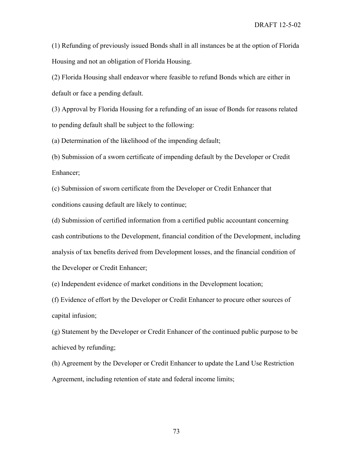(1) Refunding of previously issued Bonds shall in all instances be at the option of Florida Housing and not an obligation of Florida Housing.

(2) Florida Housing shall endeavor where feasible to refund Bonds which are either in default or face a pending default.

(3) Approval by Florida Housing for a refunding of an issue of Bonds for reasons related to pending default shall be subject to the following:

(a) Determination of the likelihood of the impending default;

(b) Submission of a sworn certificate of impending default by the Developer or Credit Enhancer;

(c) Submission of sworn certificate from the Developer or Credit Enhancer that conditions causing default are likely to continue;

(d) Submission of certified information from a certified public accountant concerning cash contributions to the Development, financial condition of the Development, including analysis of tax benefits derived from Development losses, and the financial condition of the Developer or Credit Enhancer;

(e) Independent evidence of market conditions in the Development location;

(f) Evidence of effort by the Developer or Credit Enhancer to procure other sources of capital infusion;

(g) Statement by the Developer or Credit Enhancer of the continued public purpose to be achieved by refunding;

(h) Agreement by the Developer or Credit Enhancer to update the Land Use Restriction Agreement, including retention of state and federal income limits;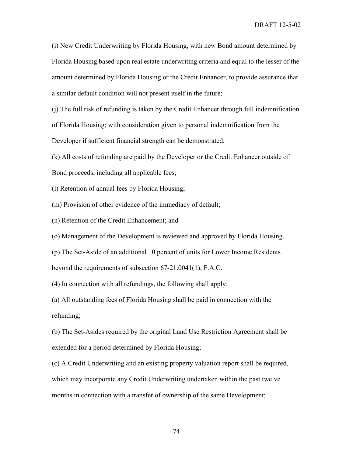(i) New Credit Underwriting by Florida Housing, with new Bond amount determined by Florida Housing based upon real estate underwriting criteria and equal to the lesser of the amount determined by Florida Housing or the Credit Enhancer, to provide assurance that a similar default condition will not present itself in the future;

(j) The full risk of refunding is taken by the Credit Enhancer through full indemnification of Florida Housing; with consideration given to personal indemnification from the Developer if sufficient financial strength can be demonstrated;

(k) All costs of refunding are paid by the Developer or the Credit Enhancer outside of Bond proceeds, including all applicable fees;

(l) Retention of annual fees by Florida Housing;

(m) Provision of other evidence of the immediacy of default;

(n) Retention of the Credit Enhancement; and

(o) Management of the Development is reviewed and approved by Florida Housing.

(p) The Set-Aside of an additional 10 percent of units for Lower Income Residents beyond the requirements of subsection 67-21.0041(1), F.A.C.

(4) In connection with all refundings, the following shall apply:

(a) All outstanding fees of Florida Housing shall be paid in connection with the refunding;

(b) The Set-Asides required by the original Land Use Restriction Agreement shall be extended for a period determined by Florida Housing;

(c) A Credit Underwriting and an existing property valuation report shall be required, which may incorporate any Credit Underwriting undertaken within the past twelve months in connection with a transfer of ownership of the same Development;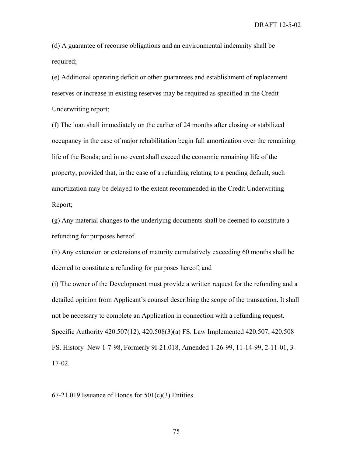DRAFT 12-5-02

(d) A guarantee of recourse obligations and an environmental indemnity shall be required;

(e) Additional operating deficit or other guarantees and establishment of replacement reserves or increase in existing reserves may be required as specified in the Credit Underwriting report;

(f) The loan shall immediately on the earlier of 24 months after closing or stabilized occupancy in the case of major rehabilitation begin full amortization over the remaining life of the Bonds; and in no event shall exceed the economic remaining life of the property, provided that, in the case of a refunding relating to a pending default, such amortization may be delayed to the extent recommended in the Credit Underwriting Report;

(g) Any material changes to the underlying documents shall be deemed to constitute a refunding for purposes hereof.

(h) Any extension or extensions of maturity cumulatively exceeding 60 months shall be deemed to constitute a refunding for purposes hereof; and

(i) The owner of the Development must provide a written request for the refunding and a detailed opinion from Applicant's counsel describing the scope of the transaction. It shall not be necessary to complete an Application in connection with a refunding request. Specific Authority 420.507(12), 420.508(3)(a) FS. Law Implemented 420.507, 420.508 FS. History–New 1-7-98, Formerly 9I-21.018, Amended 1-26-99, 11-14-99, 2-11-01, 3- 17-02.

 $67-21.019$  Issuance of Bonds for  $501(c)(3)$  Entities.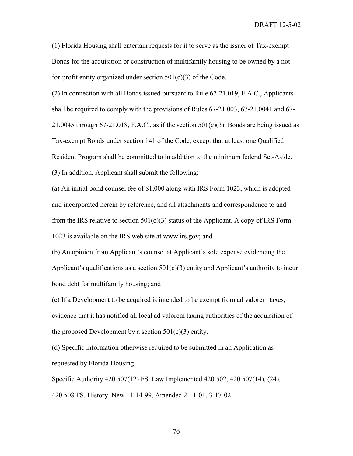DRAFT 12-5-02

(1) Florida Housing shall entertain requests for it to serve as the issuer of Tax-exempt Bonds for the acquisition or construction of multifamily housing to be owned by a notfor-profit entity organized under section  $501(c)(3)$  of the Code.

(2) In connection with all Bonds issued pursuant to Rule 67-21.019, F.A.C., Applicants shall be required to comply with the provisions of Rules 67-21.003, 67-21.0041 and 67- 21.0045 through 67-21.018, F.A.C., as if the section  $501(c)(3)$ . Bonds are being issued as Tax-exempt Bonds under section 141 of the Code, except that at least one Qualified Resident Program shall be committed to in addition to the minimum federal Set-Aside. (3) In addition, Applicant shall submit the following:

(a) An initial bond counsel fee of \$1,000 along with IRS Form 1023, which is adopted and incorporated herein by reference, and all attachments and correspondence to and from the IRS relative to section  $501(c)(3)$  status of the Applicant. A copy of IRS Form 1023 is available on the IRS web site at www.irs.gov; and

(b) An opinion from Applicant's counsel at Applicant's sole expense evidencing the Applicant's qualifications as a section  $501(c)(3)$  entity and Applicant's authority to incur bond debt for multifamily housing; and

(c) If a Development to be acquired is intended to be exempt from ad valorem taxes, evidence that it has notified all local ad valorem taxing authorities of the acquisition of the proposed Development by a section  $501(c)(3)$  entity.

(d) Specific information otherwise required to be submitted in an Application as requested by Florida Housing.

Specific Authority 420.507(12) FS. Law Implemented 420.502, 420.507(14), (24), 420.508 FS. History–New 11-14-99, Amended 2-11-01, 3-17-02.